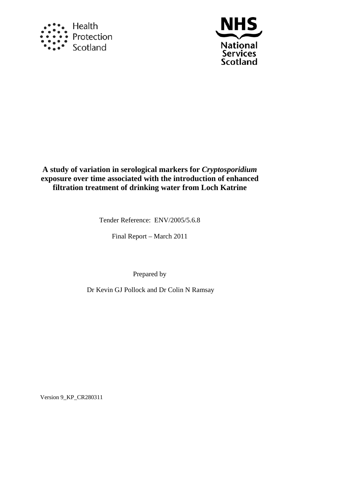



**A study of variation in serological markers for** *Cryptosporidium* **exposure over time associated with the introduction of enhanced filtration treatment of drinking water from Loch Katrine** 

Tender Reference: ENV/2005/5.6.8

Final Report – March 2011

Prepared by

Dr Kevin GJ Pollock and Dr Colin N Ramsay

Version 9\_KP\_CR280311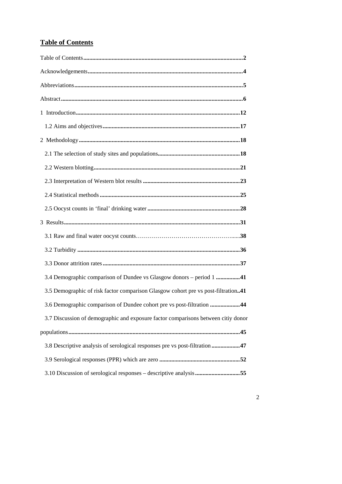# <span id="page-1-1"></span><span id="page-1-0"></span>**Table of Contents**

| 3.4 Demographic comparison of Dundee vs Glasgow donors - period 1 41              |
|-----------------------------------------------------------------------------------|
| 3.5 Demographic of risk factor comparison Glasgow cohort pre vs post-filtration41 |
| 3.6 Demographic comparison of Dundee cohort pre vs post-filtration 44             |
| 3.7 Discussion of demographic and exposure factor comparisons between citiy donor |
|                                                                                   |
| 3.8 Descriptive analysis of serological responses pre vs post-filtration 47       |
|                                                                                   |
| 3.10 Discussion of serological responses - descriptive analysis 55                |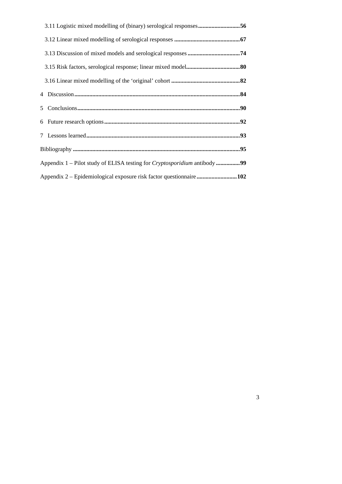| Appendix 1 – Pilot study of ELISA testing for Cryptosporidium antibody 99 |
|---------------------------------------------------------------------------|
| Appendix 2 – Epidemiological exposure risk factor questionnaire102        |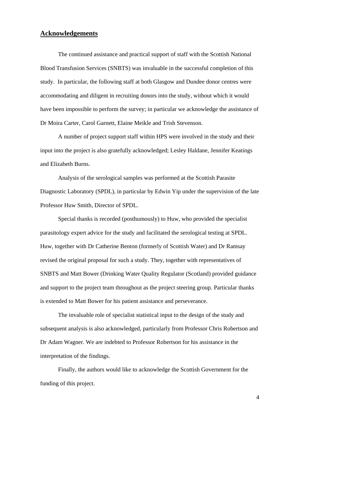## <span id="page-3-1"></span><span id="page-3-0"></span>**Acknowledgements**

The continued assistance and practical support of staff with the Scottish National Blood Transfusion Services (SNBTS) was invaluable in the successful completion of this study. In particular, the following staff at both Glasgow and Dundee donor centres were accommodating and diligent in recruiting donors into the study, without which it would have been impossible to perform the survey; in particular we acknowledge the assistance of Dr Moira Carter, Carol Garnett, Elaine Meikle and Trish Stevenson.

A number of project support staff within HPS were involved in the study and their input into the project is also gratefully acknowledged; Lesley Haldane, Jennifer Keatings and Elizabeth Burns.

 Analysis of the serological samples was performed at the Scottish Parasite Diagnostic Laboratory (SPDL), in particular by Edwin Yip under the supervision of the late Professor Huw Smith, Director of SPDL.

 Special thanks is recorded (posthumously) to Huw, who provided the specialist parasitology expert advice for the study and facilitated the serological testing at SPDL. Huw, together with Dr Catherine Benton (formerly of Scottish Water) and Dr Ramsay revised the original proposal for such a study. They, together with representatives of SNBTS and Matt Bower (Drinking Water Quality Regulator (Scotland) provided guidance and support to the project team throughout as the project steering group. Particular thanks is extended to Matt Bower for his patient assistance and perseverance.

 The invaluable role of specialist statistical input to the design of the study and subsequent analysis is also acknowledged, particularly from Professor Chris Robertson and Dr Adam Wagner. We are indebted to Professor Robertson for his assistance in the interpretation of the findings.

Finally, the authors would like to acknowledge the Scottish Government for the funding of this project.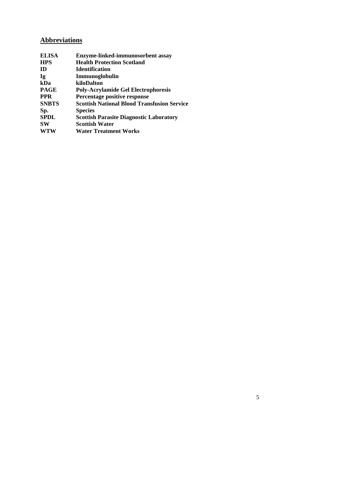# <span id="page-4-1"></span><span id="page-4-0"></span>**Abbreviations**

| <b>ELISA</b> | Enzyme-linked-immunosorbent assay                  |
|--------------|----------------------------------------------------|
| <b>HPS</b>   | <b>Health Protection Scotland</b>                  |
| <b>ID</b>    | <b>Identification</b>                              |
| Ig           | Immunoglobulin                                     |
| kDa          | kiloDalton                                         |
| <b>PAGE</b>  | <b>Poly-Acrylamide Gel Electrophoresis</b>         |
| <b>PPR</b>   | Percentage positive response                       |
| <b>SNBTS</b> | <b>Scottish National Blood Transfusion Service</b> |
| Sp.          | <b>Species</b>                                     |
| <b>SPDL</b>  | <b>Scottish Parasite Diagnostic Laboratory</b>     |
| <b>SW</b>    | <b>Scottish Water</b>                              |
| <b>WTW</b>   | <b>Water Treatment Works</b>                       |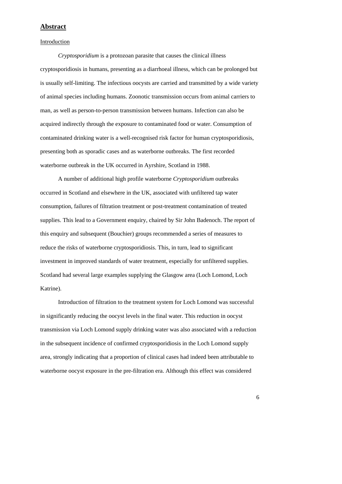## <span id="page-5-1"></span><span id="page-5-0"></span>**Abstract**

Introduction

*Cryptosporidium* is a protozoan parasite that causes the clinical illness cryptosporidiosis in humans, presenting as a diarrhoeal illness, which can be prolonged but is usually self-limiting. The infectious oocysts are carried and transmitted by a wide variety of animal species including humans. Zoonotic transmission occurs from animal carriers to man, as well as person-to-person transmission between humans. Infection can also be acquired indirectly through the exposure to contaminated food or water. Consumption of contaminated drinking water is a well-recognised risk factor for human cryptosporidiosis, presenting both as sporadic cases and as waterborne outbreaks. The first recorded waterborne outbreak in the UK occurred in Ayrshire, Scotland in 1988.

 A number of additional high profile waterborne *Cryptosporidium* outbreaks occurred in Scotland and elsewhere in the UK, associated with unfiltered tap water consumption, failures of filtration treatment or post-treatment contamination of treated supplies. This lead to a Government enquiry, chaired by Sir John Badenoch. The report of this enquiry and subsequent (Bouchier) groups recommended a series of measures to reduce the risks of waterborne cryptosporidiosis. This, in turn, lead to significant investment in improved standards of water treatment, especially for unfiltered supplies. Scotland had several large examples supplying the Glasgow area (Loch Lomond, Loch Katrine).

 Introduction of filtration to the treatment system for Loch Lomond was successful in significantly reducing the oocyst levels in the final water. This reduction in oocyst transmission via Loch Lomond supply drinking water was also associated with a reduction in the subsequent incidence of confirmed cryptosporidiosis in the Loch Lomond supply area, strongly indicating that a proportion of clinical cases had indeed been attributable to waterborne oocyst exposure in the pre-filtration era. Although this effect was considered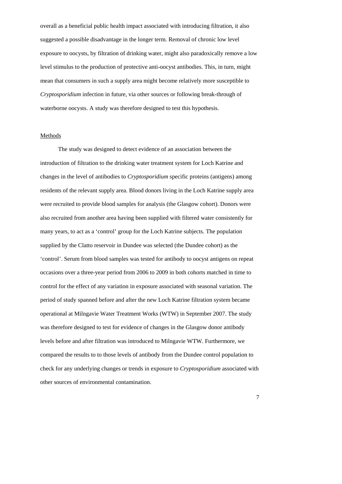overall as a beneficial public health impact associated with introducing filtration, it also suggested a possible disadvantage in the longer term. Removal of chronic low level exposure to oocysts, by filtration of drinking water, might also paradoxically remove a low level stimulus to the production of protective anti-oocyst antibodies. This, in turn, might mean that consumers in such a supply area might become relatively more susceptible to *Cryptosporidium* infection in future, via other sources or following break-through of waterborne oocysts. A study was therefore designed to test this hypothesis.

#### Methods

 The study was designed to detect evidence of an association between the introduction of filtration to the drinking water treatment system for Loch Katrine and changes in the level of antibodies to *Cryptosporidium* specific proteins (antigens) among residents of the relevant supply area. Blood donors living in the Loch Katrine supply area were recruited to provide blood samples for analysis (the Glasgow cohort). Donors were also recruited from another area having been supplied with filtered water consistently for many years, to act as a 'control' group for the Loch Katrine subjects. The population supplied by the Clatto reservoir in Dundee was selected (the Dundee cohort) as the 'control'. Serum from blood samples was tested for antibody to oocyst antigens on repeat occasions over a three-year period from 2006 to 2009 in both cohorts matched in time to control for the effect of any variation in exposure associated with seasonal variation. The period of study spanned before and after the new Loch Katrine filtration system became operational at Milngavie Water Treatment Works (WTW) in September 2007. The study was therefore designed to test for evidence of changes in the Glasgow donor antibody levels before and after filtration was introduced to Milngavie WTW. Furthermore, we compared the results to to those levels of antibody from the Dundee control population to check for any underlying changes or trends in exposure to *Cryptosporidium* associated with other sources of environmental contamination.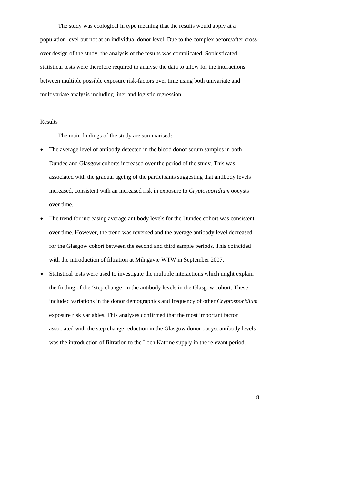The study was ecological in type meaning that the results would apply at a population level but not at an individual donor level. Due to the complex before/after crossover design of the study, the analysis of the results was complicated. Sophisticated statistical tests were therefore required to analyse the data to allow for the interactions between multiple possible exposure risk-factors over time using both univariate and multivariate analysis including liner and logistic regression.

#### **Results**

The main findings of the study are summarised:

- The average level of antibody detected in the blood donor serum samples in both Dundee and Glasgow cohorts increased over the period of the study. This was associated with the gradual ageing of the participants suggesting that antibody levels increased, consistent with an increased risk in exposure to *Cryptosporidium* oocysts over time.
- The trend for increasing average antibody levels for the Dundee cohort was consistent over time. However, the trend was reversed and the average antibody level decreased for the Glasgow cohort between the second and third sample periods. This coincided with the introduction of filtration at Milngavie WTW in September 2007.
- Statistical tests were used to investigate the multiple interactions which might explain the finding of the 'step change' in the antibody levels in the Glasgow cohort. These included variations in the donor demographics and frequency of other *Cryptosporidium* exposure risk variables. This analyses confirmed that the most important factor associated with the step change reduction in the Glasgow donor oocyst antibody levels was the introduction of filtration to the Loch Katrine supply in the relevant period.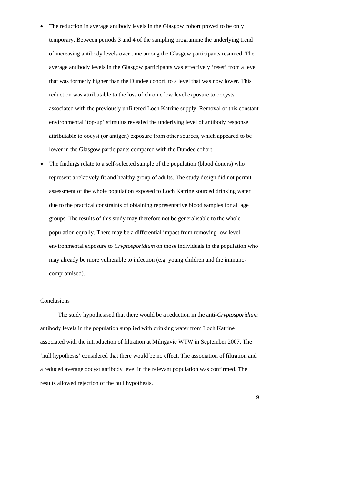- The reduction in average antibody levels in the Glasgow cohort proved to be only temporary. Between periods 3 and 4 of the sampling programme the underlying trend of increasing antibody levels over time among the Glasgow participants resumed. The average antibody levels in the Glasgow participants was effectively 'reset' from a level that was formerly higher than the Dundee cohort, to a level that was now lower. This reduction was attributable to the loss of chronic low level exposure to oocysts associated with the previously unfiltered Loch Katrine supply. Removal of this constant environmental 'top-up' stimulus revealed the underlying level of antibody response attributable to oocyst (or antigen) exposure from other sources, which appeared to be lower in the Glasgow participants compared with the Dundee cohort.
- The findings relate to a self-selected sample of the population (blood donors) who represent a relatively fit and healthy group of adults. The study design did not permit assessment of the whole population exposed to Loch Katrine sourced drinking water due to the practical constraints of obtaining representative blood samples for all age groups. The results of this study may therefore not be generalisable to the whole population equally. There may be a differential impact from removing low level environmental exposure to *Cryptosporidium* on those individuals in the population who may already be more vulnerable to infection (e.g. young children and the immunocompromised).

## **Conclusions**

 The study hypothesised that there would be a reduction in the anti-*Cryptosporidium* antibody levels in the population supplied with drinking water from Loch Katrine associated with the introduction of filtration at Milngavie WTW in September 2007. The 'null hypothesis' considered that there would be no effect. The association of filtration and a reduced average oocyst antibody level in the relevant population was confirmed. The results allowed rejection of the null hypothesis.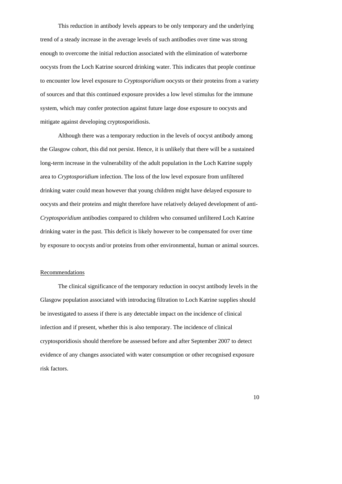This reduction in antibody levels appears to be only temporary and the underlying trend of a steady increase in the average levels of such antibodies over time was strong enough to overcome the initial reduction associated with the elimination of waterborne oocysts from the Loch Katrine sourced drinking water. This indicates that people continue to encounter low level exposure to *Cryptosporidium* oocysts or their proteins from a variety of sources and that this continued exposure provides a low level stimulus for the immune system, which may confer protection against future large dose exposure to oocysts and mitigate against developing cryptosporidiosis.

 Although there was a temporary reduction in the levels of oocyst antibody among the Glasgow cohort, this did not persist. Hence, it is unlikely that there will be a sustained long-term increase in the vulnerability of the adult population in the Loch Katrine supply area to *Cryptosporidium* infection. The loss of the low level exposure from unfiltered drinking water could mean however that young children might have delayed exposure to oocysts and their proteins and might therefore have relatively delayed development of anti-*Cryptosporidium* antibodies compared to children who consumed unfiltered Loch Katrine drinking water in the past. This deficit is likely however to be compensated for over time by exposure to oocysts and/or proteins from other environmental, human or animal sources.

#### Recommendations

 The clinical significance of the temporary reduction in oocyst antibody levels in the Glasgow population associated with introducing filtration to Loch Katrine supplies should be investigated to assess if there is any detectable impact on the incidence of clinical infection and if present, whether this is also temporary. The incidence of clinical cryptosporidiosis should therefore be assessed before and after September 2007 to detect evidence of any changes associated with water consumption or other recognised exposure risk factors.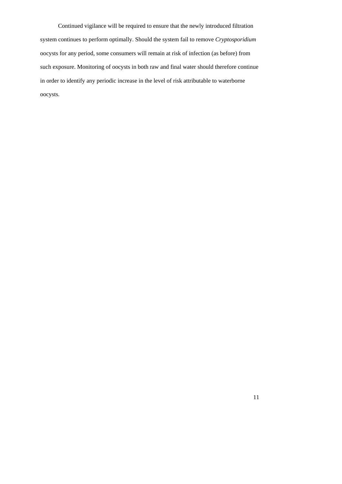Continued vigilance will be required to ensure that the newly introduced filtration system continues to perform optimally. Should the system fail to remove *Cryptosporidium* oocysts for any period, some consumers will remain at risk of infection (as before) from such exposure. Monitoring of oocysts in both raw and final water should therefore continue in order to identify any periodic increase in the level of risk attributable to waterborne oocysts.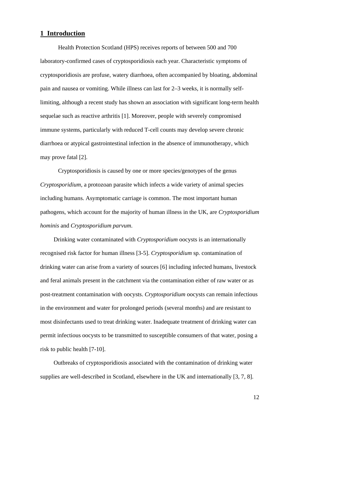## <span id="page-11-1"></span><span id="page-11-0"></span>**1 Introduction**

 Health Protection Scotland (HPS) receives reports of between 500 and 700 laboratory-confirmed cases of cryptosporidiosis each year. Characteristic symptoms of cryptosporidiosis are profuse, watery diarrhoea, often accompanied by bloating, abdominal pain and nausea or vomiting. While illness can last for 2–3 weeks, it is normally selflimiting, although a recent study has shown an association with significant long-term health sequelae such as reactive arthritis [1]. Moreover, people with severely compromised immune systems, particularly with reduced T-cell counts may develop severe chronic diarrhoea or atypical gastrointestinal infection in the absence of immunotherapy, which may prove fatal [2].

Cryptosporidiosis is caused by one or more species/genotypes of the genus *Cryptosporidium*, a protozoan parasite which infects a wide variety of animal species including humans. Asymptomatic carriage is common. The most important human pathogens, which account for the majority of human illness in the UK, are *Cryptosporidium hominis* and *Cryptosporidium parvum*.

 Drinking water contaminated with *Cryptosporidium* oocysts is an internationally recognised risk factor for human illness [3-5]. *Cryptosporidium* sp*.* contamination of drinking water can arise from a variety of sources [6] including infected humans, livestock and feral animals present in the catchment via the contamination either of raw water or as post-treatment contamination with oocysts. *Cryptosporidium* oocysts can remain infectious in the environment and water for prolonged periods (several months) and are resistant to most disinfectants used to treat drinking water. Inadequate treatment of drinking water can permit infectious oocysts to be transmitted to susceptible consumers of that water, posing a risk to public health [7-10].

 Outbreaks of cryptosporidiosis associated with the contamination of drinking water supplies are well-described in Scotland, elsewhere in the UK and internationally [3, 7, 8].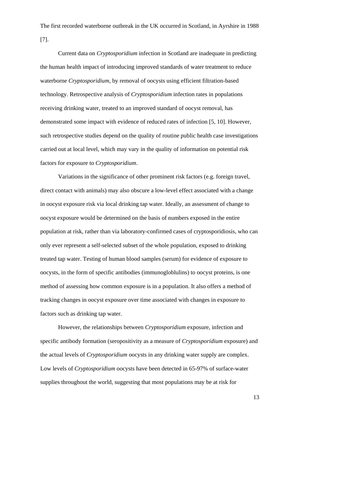The first recorded waterborne outbreak in the UK occurred in Scotland, in Ayrshire in 1988 [7].

 Current data on *Cryptosporidium* infection in Scotland are inadequate in predicting the human health impact of introducing improved standards of water treatment to reduce waterborne *Cryptosporidium*, by removal of oocysts using efficient filtration-based technology. Retrospective analysis of *Cryptosporidium* infection rates in populations receiving drinking water, treated to an improved standard of oocyst removal, has demonstrated some impact with evidence of reduced rates of infection [5, 10]. However, such retrospective studies depend on the quality of routine public health case investigations carried out at local level, which may vary in the quality of information on potential risk factors for exposure to *Cryptosporidium*.

Variations in the significance of other prominent risk factors (e.g. foreign travel, direct contact with animals) may also obscure a low-level effect associated with a change in oocyst exposure risk via local drinking tap water. Ideally, an assessment of change to oocyst exposure would be determined on the basis of numbers exposed in the entire population at risk, rather than via laboratory-confirmed cases of cryptosporidiosis, who can only ever represent a self-selected subset of the whole population, exposed to drinking treated tap water. Testing of human blood samples (serum) for evidence of exposure to oocysts, in the form of specific antibodies (immunogloblulins) to oocyst proteins, is one method of assessing how common exposure is in a population. It also offers a method of tracking changes in oocyst exposure over time associated with changes in exposure to factors such as drinking tap water.

However, the relationships between *Cryptosporidium* exposure, infection and specific antibody formation (seropositivity as a measure of *Cryptosporidium* exposure) and the actual levels of *Cryptosporidium* oocysts in any drinking water supply are complex. Low levels of *Cryptosporidium* oocysts have been detected in 65-97% of surface-water supplies throughout the world, suggesting that most populations may be at risk for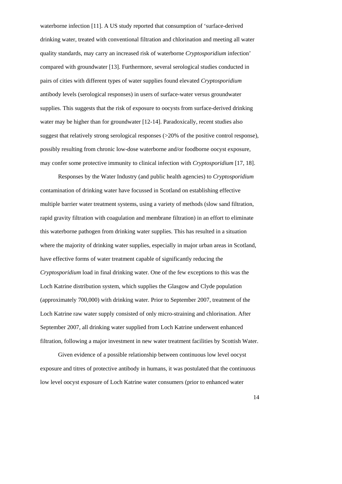waterborne infection [11]. A US study reported that consumption of 'surface-derived drinking water, treated with conventional filtration and chlorination and meeting all water quality standards, may carry an increased risk of waterborne *Cryptosporidium* infection' compared with groundwater [13]. Furthermore, several serological studies conducted in pairs of cities with different types of water supplies found elevated *Cryptosporidium*  antibody levels (serological responses) in users of surface-water versus groundwater supplies. This suggests that the risk of exposure to oocysts from surface-derived drinking water may be higher than for groundwater [12-14]. Paradoxically, recent studies also suggest that relatively strong serological responses (>20% of the positive control response), possibly resulting from chronic low-dose waterborne and/or foodborne oocyst exposure, may confer some protective immunity to clinical infection with *Cryptosporidium* [17, 18].

 Responses by the Water Industry (and public health agencies) to *Cryptosporidium* contamination of drinking water have focussed in Scotland on establishing effective multiple barrier water treatment systems, using a variety of methods (slow sand filtration, rapid gravity filtration with coagulation and membrane filtration) in an effort to eliminate this waterborne pathogen from drinking water supplies. This has resulted in a situation where the majority of drinking water supplies, especially in major urban areas in Scotland, have effective forms of water treatment capable of significantly reducing the *Cryptosporidium* load in final drinking water. One of the few exceptions to this was the Loch Katrine distribution system, which supplies the Glasgow and Clyde population (approximately 700,000) with drinking water. Prior to September 2007, treatment of the Loch Katrine raw water supply consisted of only micro-straining and chlorination. After September 2007, all drinking water supplied from Loch Katrine underwent enhanced filtration, following a major investment in new water treatment facilities by Scottish Water.

Given evidence of a possible relationship between continuous low level oocyst exposure and titres of protective antibody in humans, it was postulated that the continuous low level oocyst exposure of Loch Katrine water consumers (prior to enhanced water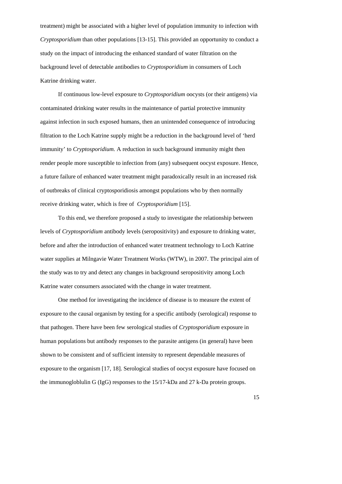treatment) might be associated with a higher level of population immunity to infection with *Cryptosporidium* than other populations [13-15]. This provided an opportunity to conduct a study on the impact of introducing the enhanced standard of water filtration on the background level of detectable antibodies to *Cryptosporidium* in consumers of Loch Katrine drinking water.

If continuous low-level exposure to *Cryptosporidium* oocysts (or their antigens) via contaminated drinking water results in the maintenance of partial protective immunity against infection in such exposed humans, then an unintended consequence of introducing filtration to the Loch Katrine supply might be a reduction in the background level of 'herd immunity' to *Cryptosporidium.* A reduction in such background immunity might then render people more susceptible to infection from (any) subsequent oocyst exposure. Hence, a future failure of enhanced water treatment might paradoxically result in an increased risk of outbreaks of clinical cryptosporidiosis amongst populations who by then normally receive drinking water, which is free of *Cryptosporidium* [15].

To this end, we therefore proposed a study to investigate the relationship between levels of *Cryptosporidium* antibody levels (seropositivity) and exposure to drinking water, before and after the introduction of enhanced water treatment technology to Loch Katrine water supplies at Milngavie Water Treatment Works (WTW), in 2007. The principal aim of the study was to try and detect any changes in background seropositivity among Loch Katrine water consumers associated with the change in water treatment.

 One method for investigating the incidence of disease is to measure the extent of exposure to the causal organism by testing for a specific antibody (serological) response to that pathogen. There have been few serological studies of *Cryptosporidium* exposure in human populations but antibody responses to the parasite antigens (in general) have been shown to be consistent and of sufficient intensity to represent dependable measures of exposure to the organism [17, 18]. Serological studies of oocyst exposure have focused on the immunogloblulin G (IgG) responses to the 15/17-kDa and 27 k-Da protein groups.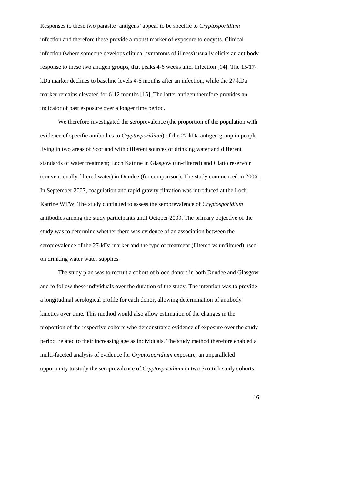Responses to these two parasite 'antigens' appear to be specific to *Cryptosporidium* infection and therefore these provide a robust marker of exposure to oocysts. Clinical infection (where someone develops clinical symptoms of illness) usually elicits an antibody response to these two antigen groups, that peaks 4-6 weeks after infection [14]. The 15/17 kDa marker declines to baseline levels 4-6 months after an infection, while the 27-kDa marker remains elevated for 6-12 months [15]. The latter antigen therefore provides an indicator of past exposure over a longer time period.

 We therefore investigated the seroprevalence (the proportion of the population with evidence of specific antibodies to *Cryptosporidium*) of the 27-kDa antigen group in people living in two areas of Scotland with different sources of drinking water and different standards of water treatment; Loch Katrine in Glasgow (un-filtered) and Clatto reservoir (conventionally filtered water) in Dundee (for comparison). The study commenced in 2006. In September 2007, coagulation and rapid gravity filtration was introduced at the Loch Katrine WTW. The study continued to assess the seroprevalence of *Cryptosporidium* antibodies among the study participants until October 2009. The primary objective of the study was to determine whether there was evidence of an association between the seroprevalence of the 27-kDa marker and the type of treatment (filtered vs unfiltered) used on drinking water water supplies.

 The study plan was to recruit a cohort of blood donors in both Dundee and Glasgow and to follow these individuals over the duration of the study. The intention was to provide a longitudinal serological profile for each donor, allowing determination of antibody kinetics over time. This method would also allow estimation of the changes in the proportion of the respective cohorts who demonstrated evidence of exposure over the study period, related to their increasing age as individuals. The study method therefore enabled a multi-faceted analysis of evidence for *Cryptosporidium* exposure, an unparalleled opportunity to study the seroprevalence of *Cryptosporidium* in two Scottish study cohorts.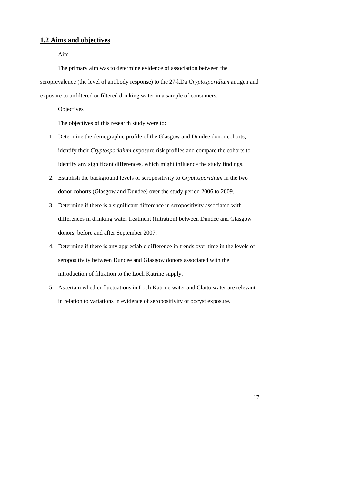## <span id="page-16-1"></span><span id="page-16-0"></span>**1.2 Aims and objectives**

## Aim

 The primary aim was to determine evidence of association between the seroprevalence (the level of antibody response) to the 27-kDa *Cryptosporidium* antigen and exposure to unfiltered or filtered drinking water in a sample of consumers.

#### **Objectives**

The objectives of this research study were to:

- 1. Determine the demographic profile of the Glasgow and Dundee donor cohorts, identify their *Cryptosporidium* exposure risk profiles and compare the cohorts to identify any significant differences, which might influence the study findings.
- 2. Establish the background levels of seropositivity to *Cryptosporidium* in the two donor cohorts (Glasgow and Dundee) over the study period 2006 to 2009.
- 3. Determine if there is a significant difference in seropositivity associated with differences in drinking water treatment (filtration) between Dundee and Glasgow donors, before and after September 2007.
- 4. Determine if there is any appreciable difference in trends over time in the levels of seropositivity between Dundee and Glasgow donors associated with the introduction of filtration to the Loch Katrine supply.
- 5. Ascertain whether fluctuations in Loch Katrine water and Clatto water are relevant in relation to variations in evidence of seropositivity ot oocyst exposure.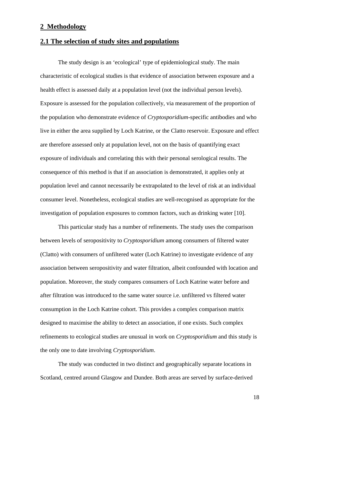## <span id="page-17-1"></span><span id="page-17-0"></span>**2 Methodology**

## <span id="page-17-2"></span>**2.1 The selection of study sites and populations**

The study design is an 'ecological' type of epidemiological study. The main characteristic of ecological studies is that evidence of association between exposure and a health effect is assessed daily at a population level (not the individual person levels). Exposure is assessed for the population collectively, via measurement of the proportion of the population who demonstrate evidence of *Cryptosporidium*-specific antibodies and who live in either the area supplied by Loch Katrine, or the Clatto reservoir. Exposure and effect are therefore assessed only at population level, not on the basis of quantifying exact exposure of individuals and correlating this with their personal serological results. The consequence of this method is that if an association is demonstrated, it applies only at population level and cannot necessarily be extrapolated to the level of risk at an individual consumer level. Nonetheless, ecological studies are well-recognised as appropriate for the investigation of population exposures to common factors, such as drinking water [10].

This particular study has a number of refinements. The study uses the comparison between levels of seropositivity to *Cryptosporidium* among consumers of filtered water (Clatto) with consumers of unfiltered water (Loch Katrine) to investigate evidence of any association between seropositivity and water filtration, albeit confounded with location and population. Moreover, the study compares consumers of Loch Katrine water before and after filtration was introduced to the same water source i.e. unfiltered vs filtered water consumption in the Loch Katrine cohort. This provides a complex comparison matrix designed to maximise the ability to detect an association, if one exists. Such complex refinements to ecological studies are unusual in work on *Cryptosporidium* and this study is the only one to date involving *Cryptosporidium*.

The study was conducted in two distinct and geographically separate locations in Scotland, centred around Glasgow and Dundee. Both areas are served by surface-derived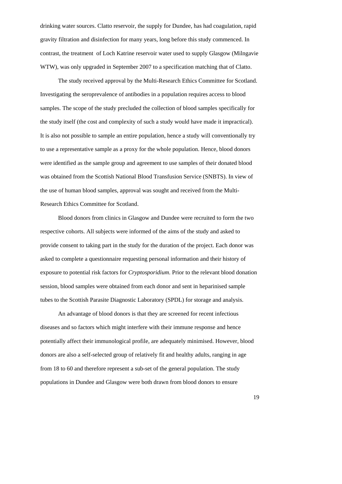drinking water sources. Clatto reservoir, the supply for Dundee, has had coagulation, rapid gravity filtration and disinfection for many years, long before this study commenced. In contrast, the treatment of Loch Katrine reservoir water used to supply Glasgow (Milngavie WTW), was only upgraded in September 2007 to a specification matching that of Clatto.

 The study received approval by the Multi-Research Ethics Committee for Scotland. Investigating the seroprevalence of antibodies in a population requires access to blood samples. The scope of the study precluded the collection of blood samples specifically for the study itself (the cost and complexity of such a study would have made it impractical). It is also not possible to sample an entire population, hence a study will conventionally try to use a representative sample as a proxy for the whole population. Hence, blood donors were identified as the sample group and agreement to use samples of their donated blood was obtained from the Scottish National Blood Transfusion Service (SNBTS). In view of the use of human blood samples, approval was sought and received from the Multi-Research Ethics Committee for Scotland.

Blood donors from clinics in Glasgow and Dundee were recruited to form the two respective cohorts. All subjects were informed of the aims of the study and asked to provide consent to taking part in the study for the duration of the project. Each donor was asked to complete a questionnaire requesting personal information and their history of exposure to potential risk factors for *Cryptosporidium*. Prior to the relevant blood donation session, blood samples were obtained from each donor and sent in heparinised sample tubes to the Scottish Parasite Diagnostic Laboratory (SPDL) for storage and analysis.

 An advantage of blood donors is that they are screened for recent infectious diseases and so factors which might interfere with their immune response and hence potentially affect their immunological profile, are adequately minimised. However, blood donors are also a self-selected group of relatively fit and healthy adults, ranging in age from 18 to 60 and therefore represent a sub-set of the general population. The study populations in Dundee and Glasgow were both drawn from blood donors to ensure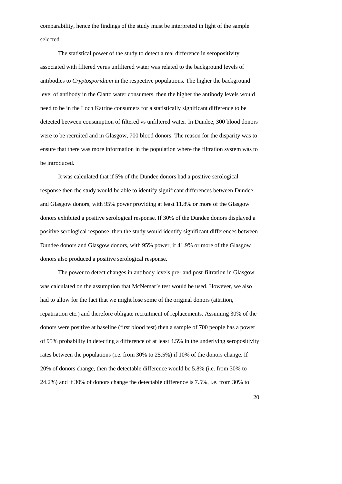comparability, hence the findings of the study must be interpreted in light of the sample selected.

 The statistical power of the study to detect a real difference in seropositivity associated with filtered verus unfiltered water was related to the background levels of antibodies to *Cryptosporidium* in the respective populations. The higher the background level of antibody in the Clatto water consumers, then the higher the antibody levels would need to be in the Loch Katrine consumers for a statistically significant difference to be detected between consumption of filtered vs unfiltered water. In Dundee, 300 blood donors were to be recruited and in Glasgow, 700 blood donors. The reason for the disparity was to ensure that there was more information in the population where the filtration system was to be introduced.

It was calculated that if 5% of the Dundee donors had a positive serological response then the study would be able to identify significant differences between Dundee and Glasgow donors, with 95% power providing at least 11.8% or more of the Glasgow donors exhibited a positive serological response. If 30% of the Dundee donors displayed a positive serological response, then the study would identify significant differences between Dundee donors and Glasgow donors, with 95% power, if 41.9% or more of the Glasgow donors also produced a positive serological response.

The power to detect changes in antibody levels pre- and post-filtration in Glasgow was calculated on the assumption that McNemar's test would be used. However, we also had to allow for the fact that we might lose some of the original donors (attrition, repatriation etc.) and therefore obligate recruitment of replacements. Assuming 30% of the donors were positive at baseline (first blood test) then a sample of 700 people has a power of 95% probability in detecting a difference of at least 4.5% in the underlying seropositivity rates between the populations (i.e. from 30% to 25.5%) if 10% of the donors change. If 20% of donors change, then the detectable difference would be 5.8% (i.e. from 30% to 24.2%) and if 30% of donors change the detectable difference is 7.5%, i.e. from 30% to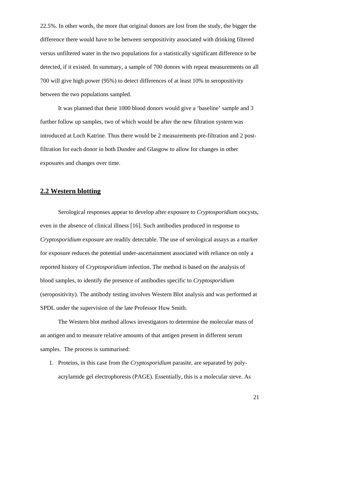<span id="page-20-0"></span>22.5%. In other words, the more that original donors are lost from the study, the bigger the difference there would have to be between seropositivity associated with drinking filtered versus unfiltered water in the two populations for a statistically significant difference to be detected, if it existed. In summary, a sample of 700 donors with repeat measurements on all 700 will give high power (95%) to detect differences of at least 10% in seropositivity between the two populations sampled.

 It was planned that these 1000 blood donors would give a 'baseline' sample and 3 further follow up samples, two of which would be after the new filtration system was introduced at Loch Katrine. Thus there would be 2 measurements pre-filtration and 2 postfiltration for each donor in both Dundee and Glasgow to allow for changes in other exposures and changes over time.

## **2.2 Western blotting**

<span id="page-20-1"></span>Serological responses appear to develop after exposure to *Cryptosporidium* oocysts, even in the absence of clinical illness [16]. Such antibodies produced in response to *Cryptosporidium* exposure are readily detectable. The use of serological assays as a marker for exposure reduces the potential under-ascertainment associated with reliance on only a reported history of *Cryptosporidium* infection. The method is based on the analysis of blood samples, to identify the presence of antibodies specific to *Cryptosporidium*  (seropositivity). The antibody testing involves Western Blot analysis and was performed at SPDL under the supervision of the late Professor Huw Smith.

 The Western blot method allows investigators to determine the molecular mass of an antigen and to measure relative amounts of that antigen present in different serum samples. The process is summarised:

1. Proteins, in this case from the *Cryptosporidium* parasite, are separated by polyacrylamide gel electrophoresis (PAGE). Essentially, this is a molecular sieve. As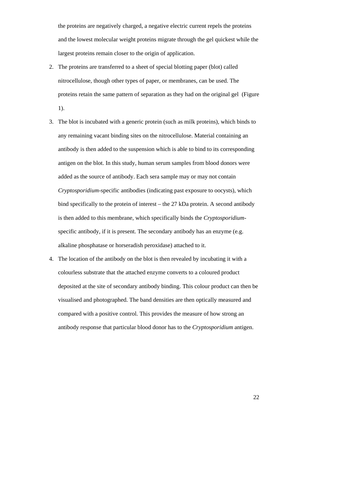the proteins are negatively charged, a negative electric current repels the proteins and the lowest molecular weight proteins migrate through the gel quickest while the largest proteins remain closer to the origin of application.

- 2. The proteins are transferred to a sheet of special blotting paper (blot) called nitrocellulose, though other types of paper, or membranes, can be used. The proteins retain the same pattern of separation as they had on the original gel (Figure 1).
- 3. The blot is incubated with a generic protein (such as milk proteins), which binds to any remaining vacant binding sites on the nitrocellulose. Material containing an antibody is then added to the suspension which is able to bind to its corresponding antigen on the blot. In this study, human serum samples from blood donors were added as the source of antibody. Each sera sample may or may not contain *Cryptosporidium*-specific antibodies (indicating past exposure to oocysts), which bind specifically to the protein of interest – the 27 kDa protein. A second antibody is then added to this membrane, which specifically binds the *Cryptosporidium*specific antibody, if it is present. The secondary antibody has an enzyme (e.g. alkaline phosphatase or horseradish peroxidase) attached to it.
- 4. The location of the antibody on the blot is then revealed by incubating it with a colourless substrate that the attached enzyme converts to a coloured product deposited at the site of secondary antibody binding. This colour product can then be visualised and photographed. The band densities are then optically measured and compared with a positive control. This provides the measure of how strong an antibody response that particular blood donor has to the *Cryptosporidium* antigen.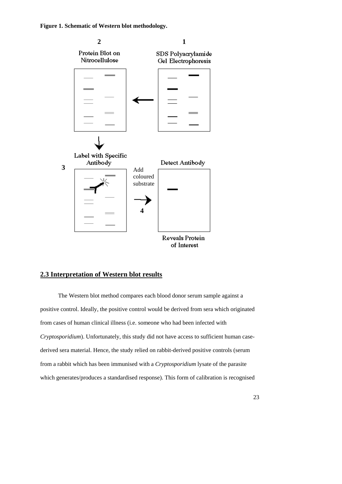<span id="page-22-0"></span>

## **2.3 Interpretation of Western blot results**

<span id="page-22-1"></span>The Western blot method compares each blood donor serum sample against a positive control. Ideally, the positive control would be derived from sera which originated from cases of human clinical illness (i.e. someone who had been infected with *Cryptosporidium*). Unfortunately, this study did not have access to sufficient human casederived sera material. Hence, the study relied on rabbit-derived positive controls (serum from a rabbit which has been immunised with a *Cryptosporidium* lysate of the parasite which generates/produces a standardised response). This form of calibration is recognised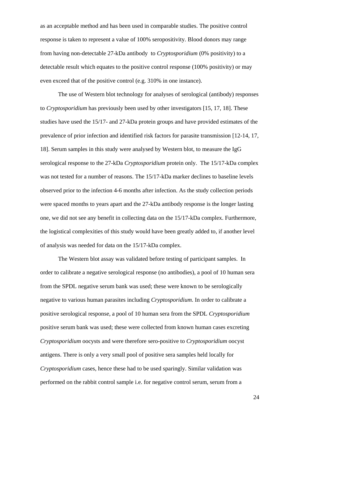as an acceptable method and has been used in comparable studies. The positive control response is taken to represent a value of 100% seropositivity. Blood donors may range from having non-detectable 27-kDa antibody to *Cryptosporidium* (0% positivity) to a detectable result which equates to the positive control response (100% positivity) or may even exceed that of the positive control (e.g. 310% in one instance).

The use of Western blot technology for analyses of serological (antibody) responses to *Cryptosporidium* has previously been used by other investigators [15, 17, 18]. These studies have used the 15/17- and 27-kDa protein groups and have provided estimates of the prevalence of prior infection and identified risk factors for parasite transmission [12-14, 17, 18]. Serum samples in this study were analysed by Western blot, to measure the IgG serological response to the 27-kDa *Cryptosporidium* protein only. The 15/17-kDa complex was not tested for a number of reasons. The 15/17-kDa marker declines to baseline levels observed prior to the infection 4-6 months after infection. As the study collection periods were spaced months to years apart and the 27-kDa antibody response is the longer lasting one, we did not see any benefit in collecting data on the 15/17-kDa complex. Furthermore, the logistical complexities of this study would have been greatly added to, if another level of analysis was needed for data on the 15/17-kDa complex.

The Western blot assay was validated before testing of participant samples. In order to calibrate a negative serological response (no antibodies), a pool of 10 human sera from the SPDL negative serum bank was used; these were known to be serologically negative to various human parasites including *Cryptosporidium*. In order to calibrate a positive serological response, a pool of 10 human sera from the SPDL *Cryptosporidium* positive serum bank was used; these were collected from known human cases excreting *Cryptosporidium* oocysts and were therefore sero-positive to *Cryptosporidium* oocyst antigens. There is only a very small pool of positive sera samples held locally for *Cryptosporidium* cases, hence these had to be used sparingly. Similar validation was performed on the rabbit control sample i.e. for negative control serum, serum from a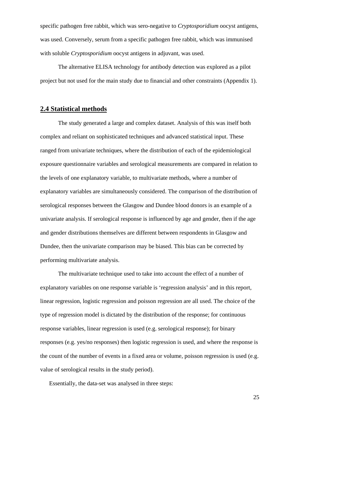<span id="page-24-0"></span>specific pathogen free rabbit, which was sero-negative to *Cryptosporidium* oocyst antigens, was used. Conversely, serum from a specific pathogen free rabbit, which was immunised with soluble *Cryptosporidium* oocyst antigens in adjuvant, was used.

 The alternative ELISA technology for antibody detection was explored as a pilot project but not used for the main study due to financial and other constraints (Appendix 1).

## **2.4 Statistical methods**

<span id="page-24-1"></span> The study generated a large and complex dataset. Analysis of this was itself both complex and reliant on sophisticated techniques and advanced statistical input. These ranged from univariate techniques, where the distribution of each of the epidemiological exposure questionnaire variables and serological measurements are compared in relation to the levels of one explanatory variable, to multivariate methods, where a number of explanatory variables are simultaneously considered. The comparison of the distribution of serological responses between the Glasgow and Dundee blood donors is an example of a univariate analysis. If serological response is influenced by age and gender, then if the age and gender distributions themselves are different between respondents in Glasgow and Dundee, then the univariate comparison may be biased. This bias can be corrected by performing multivariate analysis.

The multivariate technique used to take into account the effect of a number of explanatory variables on one response variable is 'regression analysis' and in this report, linear regression, logistic regression and poisson regression are all used. The choice of the type of regression model is dictated by the distribution of the response; for continuous response variables, linear regression is used (e.g. serological response); for binary responses (e.g. yes/no responses) then logistic regression is used, and where the response is the count of the number of events in a fixed area or volume, poisson regression is used (e.g. value of serological results in the study period).

Essentially, the data-set was analysed in three steps: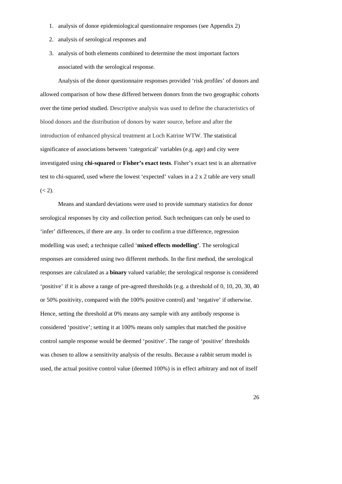- 1. analysis of donor epidemiological questionnaire responses (see Appendix 2)
- 2. analysis of serological responses and
- 3. analysis of both elements combined to determine the most important factors associated with the serological response.

 Analysis of the donor questionnaire responses provided 'risk profiles' of donors and allowed comparison of how these differed between donors from the two geographic cohorts over the time period studied. Descriptive analysis was used to define the characteristics of blood donors and the distribution of donors by water source, before and after the introduction of enhanced physical treatment at Loch Katrine WTW. The statistical significance of associations between 'categorical' variables (e.g. age) and city were investigated using **chi-squared** or **Fisher's exact tests**. Fisher's exact test is an alternative test to chi-squared, used where the lowest 'expected' values in a 2 x 2 table are very small  $(< 2)$ .

 Means and standard deviations were used to provide summary statistics for donor serological responses by city and collection period. Such techniques can only be used to 'infer' differences, if there are any. In order to confirm a true difference, regression modelling was used; a technique called '**mixed effects modelling'**. The serological responses are considered using two different methods. In the first method, the serological responses are calculated as a **binary** valued variable; the serological response is considered 'positive' if it is above a range of pre-agreed thresholds (e.g. a threshold of 0, 10, 20, 30, 40 or 50% positivity, compared with the 100% positive control) and 'negative' if otherwise. Hence, setting the threshold at 0% means any sample with any antibody response is considered 'positive'; setting it at 100% means only samples that matched the positive control sample response would be deemed 'positive'. The range of 'positive' thresholds was chosen to allow a sensitivity analysis of the results. Because a rabbit serum model is used, the actual positive control value (deemed 100%) is in effect arbitrary and not of itself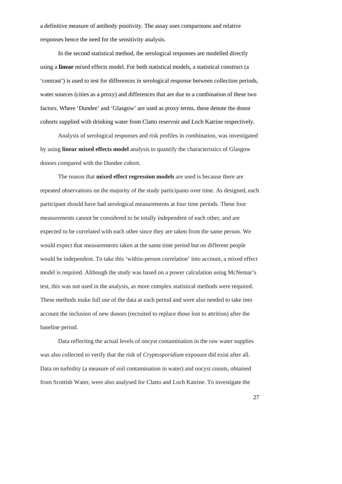a definitive measure of antibody positivity. The assay uses comparisons and relative responses hence the need for the sensitivity analysis.

In the second statistical method, the serological responses are modelled directly using a **linear** mixed effects model. For both statistical models, a statistical construct (a 'contrast') is used to test for differences in serological response between collection periods, water sources (cities as a proxy) and differences that are due to a combination of these two factors. Where 'Dundee' and 'Glasgow' are used as proxy terms, these denote the donor cohorts supplied with drinking water from Clatto reservoir and Loch Katrine respectively.

Analysis of serological responses and risk profiles in combination, was investigated by using **linear mixed effects model** analysis to quantify the characteristics of Glasgow donors compared with the Dundee cohort.

The reason that **mixed effect regression models** are used is because there are repeated observations on the majority of the study participants over time. As designed, each participant should have had serological measurements at four time periods. These four measurements cannot be considered to be totally independent of each other, and are expected to be correlated with each other since they are taken from the same person. We would expect that measurements taken at the same time period but on different people would be independent. To take this 'within-person correlation' into account, a mixed effect model is required. Although the study was based on a power calculation using McNemar's test, this was not used in the analysis, as more complex statistical methods were required. These methods make full use of the data at each period and were also needed to take into account the inclusion of new donors (recruited to replace those lost to attrition) after the baseline period.

 Data reflecting the actual levels of oocyst contamination in the raw water supplies was also collected to verify that the risk of *Cryptosporidium* exposure did exist after all. Data on turbidity (a measure of soil contamination in water) and oocyst counts, obtained from Scottish Water, were also analysed for Clatto and Loch Katrine. To investigate the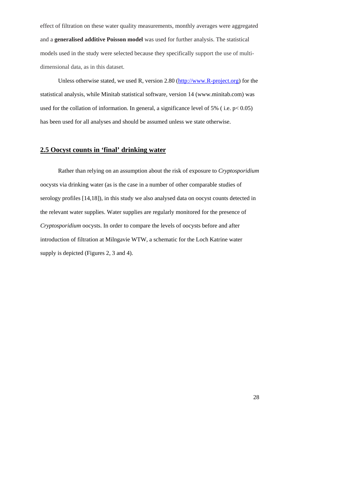<span id="page-27-0"></span>effect of filtration on these water quality measurements, monthly averages were aggregated and a **generalised additive Poisson model** was used for further analysis. The statistical models used in the study were selected because they specifically support the use of multidimensional data, as in this dataset.

Unless otherwise stated, we used R, version 2.80 ([http://www.R-project.org](http://www.r-project.org/)) for the statistical analysis, while Minitab statistical software, version 14 (www.minitab.com) was used for the collation of information. In general, a significance level of 5% (i.e.  $p < 0.05$ ) has been used for all analyses and should be assumed unless we state otherwise.

# **2.5 Oocyst counts in 'final' drinking water**

<span id="page-27-1"></span> Rather than relying on an assumption about the risk of exposure to *Cryptosporidium*  oocysts via drinking water (as is the case in a number of other comparable studies of serology profiles [14,18]), in this study we also analysed data on oocyst counts detected in the relevant water supplies. Water supplies are regularly monitored for the presence of *Cryptosporidium* oocysts. In order to compare the levels of oocysts before and after introduction of filtration at Milngavie WTW, a schematic for the Loch Katrine water supply is depicted (Figures 2, 3 and 4).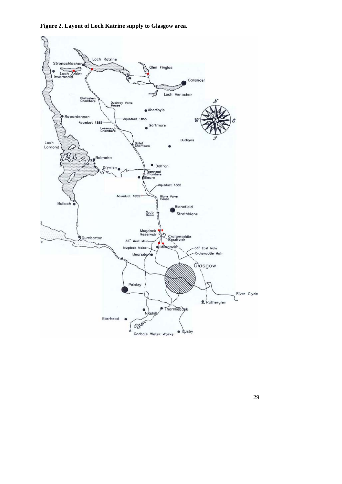**Figure 2. Layout of Loch Katrine supply to Glasgow area.** 

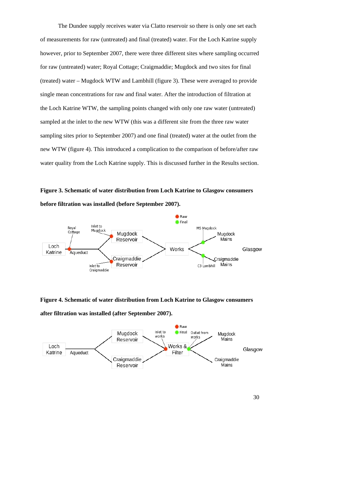The Dundee supply receives water via Clatto reservoir so there is only one set each of measurements for raw (untreated) and final (treated) water. For the Loch Katrine supply however, prior to September 2007, there were three different sites where sampling occurred for raw (untreated) water; Royal Cottage; Craigmaddie; Mugdock and two sites for final (treated) water – Mugdock WTW and Lambhill (figure 3). These were averaged to provide single mean concentrations for raw and final water. After the introduction of filtration at the Loch Katrine WTW, the sampling points changed with only one raw water (untreated) sampled at the inlet to the new WTW (this was a different site from the three raw water sampling sites prior to September 2007) and one final (treated) water at the outlet from the new WTW (figure 4). This introduced a complication to the comparison of before/after raw water quality from the Loch Katrine supply. This is discussed further in the Results section.

**Figure 3. Schematic of water distribution from Loch Katrine to Glasgow consumers before filtration was installed (before September 2007).** 



**Figure 4. Schematic of water distribution from Loch Katrine to Glasgow consumers** 

**after filtration was installed (after September 2007).** 

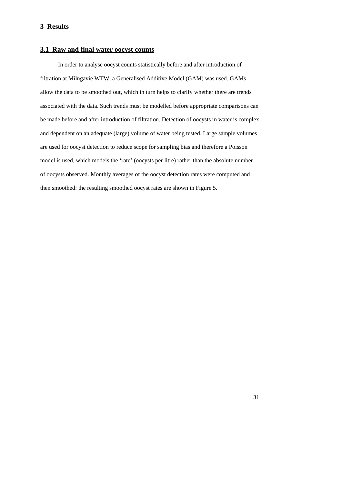## <span id="page-30-1"></span><span id="page-30-0"></span>**3 Results**

# **3.1 Raw and final water oocyst counts**

In order to analyse oocyst counts statistically before and after introduction of filtration at Milngavie WTW, a Generalised Additive Model (GAM) was used. GAMs allow the data to be smoothed out, which in turn helps to clarify whether there are trends associated with the data. Such trends must be modelled before appropriate comparisons can be made before and after introduction of filtration. Detection of oocysts in water is complex and dependent on an adequate (large) volume of water being tested. Large sample volumes are used for oocyst detection to reduce scope for sampling bias and therefore a Poisson model is used, which models the 'rate' (oocysts per litre) rather than the absolute number of oocysts observed. Monthly averages of the oocyst detection rates were computed and then smoothed: the resulting smoothed oocyst rates are shown in Figure 5.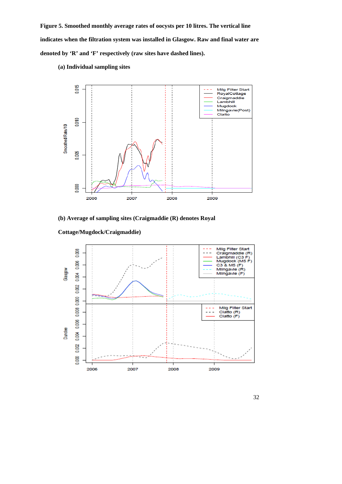**Figure 5. Smoothed monthly average rates of oocysts per 10 litres. The vertical line indicates when the filtration system was installed in Glasgow. Raw and final water are denoted by 'R' and 'F' respectively (raw sites have dashed lines).** 



 **(a) Individual sampling sites** 

## **(b) Average of sampling sites (Craigmaddie (R) denotes Royal**



#### **Cottage/Mugdock/Craigmaddie)**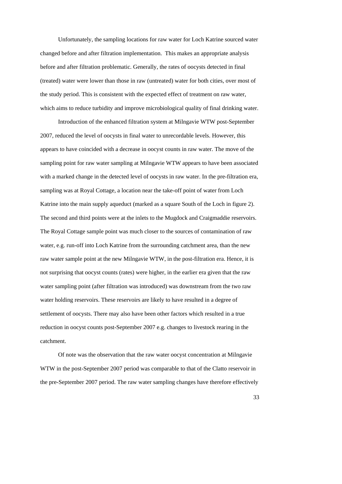Unfortunately, the sampling locations for raw water for Loch Katrine sourced water changed before and after filtration implementation. This makes an appropriate analysis before and after filtration problematic. Generally, the rates of oocysts detected in final (treated) water were lower than those in raw (untreated) water for both cities, over most of the study period. This is consistent with the expected effect of treatment on raw water, which aims to reduce turbidity and improve microbiological quality of final drinking water.

Introduction of the enhanced filtration system at Milngavie WTW post-September 2007, reduced the level of oocysts in final water to unrecordable levels. However, this appears to have coincided with a decrease in oocyst counts in raw water. The move of the sampling point for raw water sampling at Milngavie WTW appears to have been associated with a marked change in the detected level of oocysts in raw water. In the pre-filtration era, sampling was at Royal Cottage, a location near the take-off point of water from Loch Katrine into the main supply aqueduct (marked as a square South of the Loch in figure 2). The second and third points were at the inlets to the Mugdock and Craigmaddie reservoirs. The Royal Cottage sample point was much closer to the sources of contamination of raw water, e.g. run-off into Loch Katrine from the surrounding catchment area, than the new raw water sample point at the new Milngavie WTW, in the post-filtration era. Hence, it is not surprising that oocyst counts (rates) were higher, in the earlier era given that the raw water sampling point (after filtration was introduced) was downstream from the two raw water holding reservoirs. These reservoirs are likely to have resulted in a degree of settlement of oocysts. There may also have been other factors which resulted in a true reduction in oocyst counts post-September 2007 e.g. changes to livestock rearing in the catchment.

Of note was the observation that the raw water oocyst concentration at Milngavie WTW in the post-September 2007 period was comparable to that of the Clatto reservoir in the pre-September 2007 period. The raw water sampling changes have therefore effectively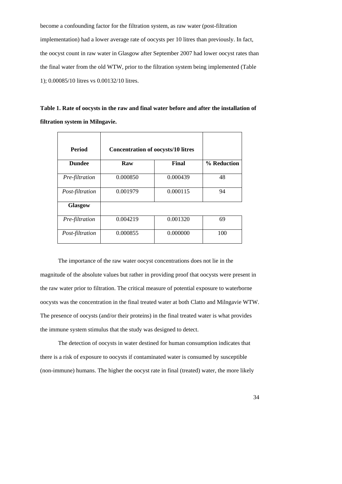become a confounding factor for the filtration system, as raw water (post-filtration implementation) had a lower average rate of oocysts per 10 litres than previously. In fact, the oocyst count in raw water in Glasgow after September 2007 had lower oocyst rates than the final water from the old WTW, prior to the filtration system being implemented (Table 1); 0.00085/10 litres vs 0.00132/10 litres.

**Table 1. Rate of oocysts in the raw and final water before and after the installation of filtration system in Milngavie.** 

| <b>Period</b>   | <b>Concentration of oocysts/10 litres</b> |          |             |
|-----------------|-------------------------------------------|----------|-------------|
| <b>Dundee</b>   | Raw                                       | Final    | % Reduction |
| Pre-filtration  | 0.000850                                  | 0.000439 | 48          |
| Post-filtration | 0.001979                                  | 0.000115 | 94          |
| <b>Glasgow</b>  |                                           |          |             |
| Pre-filtration  | 0.004219                                  | 0.001320 | 69          |
| Post-filtration | 0.000855                                  | 0.000000 | 100         |

The importance of the raw water oocyst concentrations does not lie in the magnitude of the absolute values but rather in providing proof that oocysts were present in the raw water prior to filtration. The critical measure of potential exposure to waterborne oocysts was the concentration in the final treated water at both Clatto and Milngavie WTW. The presence of oocysts (and/or their proteins) in the final treated water is what provides the immune system stimulus that the study was designed to detect.

The detection of oocysts in water destined for human consumption indicates that there is a risk of exposure to oocysts if contaminated water is consumed by susceptible (non-immune) humans. The higher the oocyst rate in final (treated) water, the more likely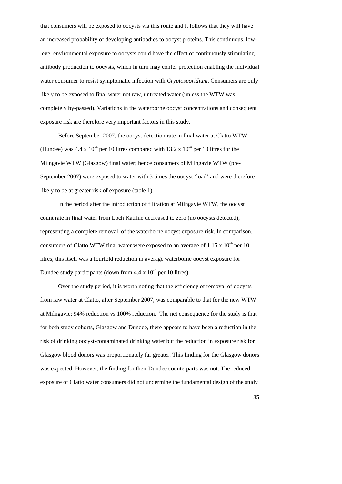that consumers will be exposed to oocysts via this route and it follows that they will have an increased probability of developing antibodies to oocyst proteins. This continuous, lowlevel environmental exposure to oocysts could have the effect of continuously stimulating antibody production to oocysts, which in turn may confer protection enabling the individual water consumer to resist symptomatic infection with *Cryptosporidium*. Consumers are only likely to be exposed to final water not raw, untreated water (unless the WTW was completely by-passed). Variations in the waterborne oocyst concentrations and consequent exposure risk are therefore very important factors in this study.

 Before September 2007, the oocyst detection rate in final water at Clatto WTW (Dundee) was  $4.4 \times 10^{-4}$  per 10 litres compared with  $13.2 \times 10^{-4}$  per 10 litres for the Milngavie WTW (Glasgow) final water; hence consumers of Milngavie WTW (pre-September 2007) were exposed to water with 3 times the oocyst 'load' and were therefore likely to be at greater risk of exposure (table 1).

 In the period after the introduction of filtration at Milngavie WTW, the oocyst count rate in final water from Loch Katrine decreased to zero (no oocysts detected), representing a complete removal of the waterborne oocyst exposure risk. In comparison, consumers of Clatto WTW final water were exposed to an average of  $1.15 \times 10^{-4}$  per 10 litres; this itself was a fourfold reduction in average waterborne oocyst exposure for Dundee study participants (down from  $4.4 \times 10^{-4}$  per 10 litres).

Over the study period, it is worth noting that the efficiency of removal of oocysts from raw water at Clatto, after September 2007, was comparable to that for the new WTW at Milngavie; 94% reduction vs 100% reduction. The net consequence for the study is that for both study cohorts, Glasgow and Dundee, there appears to have been a reduction in the risk of drinking oocyst-contaminated drinking water but the reduction in exposure risk for Glasgow blood donors was proportionately far greater. This finding for the Glasgow donors was expected. However, the finding for their Dundee counterparts was not. The reduced exposure of Clatto water consumers did not undermine the fundamental design of the study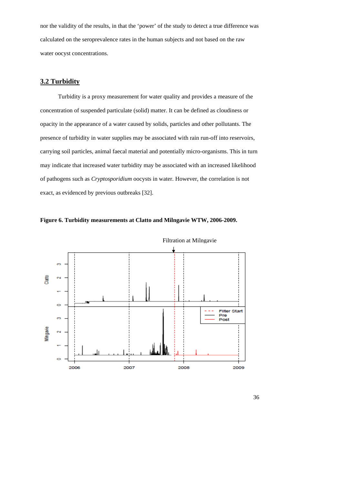<span id="page-35-0"></span>nor the validity of the results, in that the 'power' of the study to detect a true difference was calculated on the seroprevalence rates in the human subjects and not based on the raw water oocyst concentrations.

# **3.2 Turbidity**

<span id="page-35-1"></span>Turbidity is a proxy measurement for water quality and provides a measure of the concentration of suspended particulate (solid) matter. It can be defined as cloudiness or opacity in the appearance of a water caused by solids, particles and other pollutants. The presence of turbidity in water supplies may be associated with rain run-off into reservoirs, carrying soil particles, animal faecal material and potentially micro-organisms. This in turn may indicate that increased water turbidity may be associated with an increased likelihood of pathogens such as *Cryptosporidium* oocysts in water. However, the correlation is not exact, as evidenced by previous outbreaks [32].





Filtration at Milngavie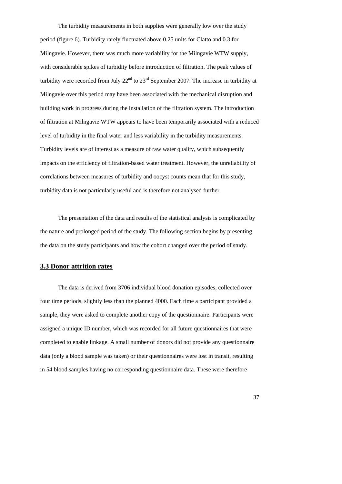The turbidity measurements in both supplies were generally low over the study period (figure 6). Turbidity rarely fluctuated above 0.25 units for Clatto and 0.3 for Milngavie. However, there was much more variability for the Milngavie WTW supply, with considerable spikes of turbidity before introduction of filtration. The peak values of turbidity were recorded from July  $22<sup>nd</sup>$  to  $23<sup>rd</sup>$  September 2007. The increase in turbidity at Milngavie over this period may have been associated with the mechanical disruption and building work in progress during the installation of the filtration system. The introduction of filtration at Milngavie WTW appears to have been temporarily associated with a reduced level of turbidity in the final water and less variability in the turbidity measurements. Turbidity levels are of interest as a measure of raw water quality, which subsequently impacts on the efficiency of filtration-based water treatment. However, the unreliability of correlations between measures of turbidity and oocyst counts mean that for this study, turbidity data is not particularly useful and is therefore not analysed further.

The presentation of the data and results of the statistical analysis is complicated by the nature and prolonged period of the study. The following section begins by presenting the data on the study participants and how the cohort changed over the period of study.

### **3.3 Donor attrition rates**

The data is derived from 3706 individual blood donation episodes, collected over four time periods, slightly less than the planned 4000. Each time a participant provided a sample, they were asked to complete another copy of the questionnaire. Participants were assigned a unique ID number, which was recorded for all future questionnaires that were completed to enable linkage. A small number of donors did not provide any questionnaire data (only a blood sample was taken) or their questionnaires were lost in transit, resulting in 54 blood samples having no corresponding questionnaire data. These were therefore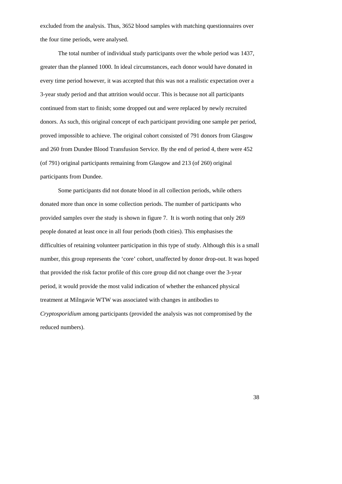excluded from the analysis. Thus, 3652 blood samples with matching questionnaires over the four time periods, were analysed.

 The total number of individual study participants over the whole period was 1437, greater than the planned 1000. In ideal circumstances, each donor would have donated in every time period however, it was accepted that this was not a realistic expectation over a 3-year study period and that attrition would occur. This is because not all participants continued from start to finish; some dropped out and were replaced by newly recruited donors. As such, this original concept of each participant providing one sample per period, proved impossible to achieve. The original cohort consisted of 791 donors from Glasgow and 260 from Dundee Blood Transfusion Service. By the end of period 4, there were 452 (of 791) original participants remaining from Glasgow and 213 (of 260) original participants from Dundee.

Some participants did not donate blood in all collection periods, while others donated more than once in some collection periods. The number of participants who provided samples over the study is shown in figure 7. It is worth noting that only 269 people donated at least once in all four periods (both cities). This emphasises the difficulties of retaining volunteer participation in this type of study. Although this is a small number, this group represents the 'core' cohort, unaffected by donor drop-out. It was hoped that provided the risk factor profile of this core group did not change over the 3-year period, it would provide the most valid indication of whether the enhanced physical treatment at Milngavie WTW was associated with changes in antibodies to *Cryptosporidium* among participants (provided the analysis was not compromised by the reduced numbers).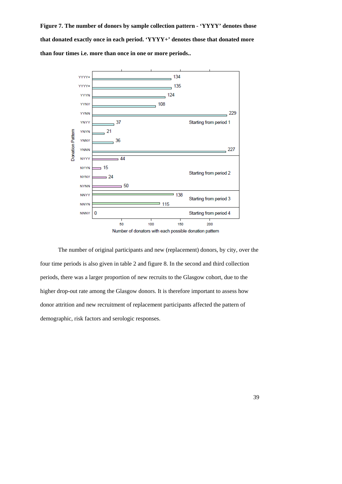**Figure 7. The number of donors by sample collection pattern - 'YYYY' denotes those that donated exactly once in each period. 'YYYY+' denotes those that donated more than four times i.e. more than once in one or more periods..** 



The number of original participants and new (replacement) donors, by city, over the four time periods is also given in table 2 and figure 8. In the second and third collection periods, there was a larger proportion of new recruits to the Glasgow cohort, due to the higher drop-out rate among the Glasgow donors. It is therefore important to assess how donor attrition and new recruitment of replacement participants affected the pattern of demographic, risk factors and serologic responses.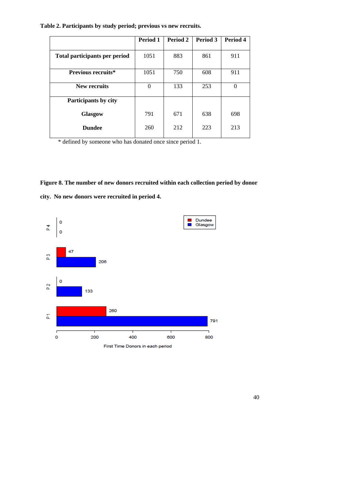|  |  |  | Table 2. Participants by study period; previous vs new recruits. |
|--|--|--|------------------------------------------------------------------|

|                               | Period 1 | Period 2 | Period 3 | Period 4 |
|-------------------------------|----------|----------|----------|----------|
| Total participants per period | 1051     | 883      | 861      | 911      |
| <b>Previous recruits*</b>     | 1051     | 750      | 608      | 911      |
| New recruits                  | $\Omega$ | 133      | 253      | $\Omega$ |
| Participants by city          |          |          |          |          |
| Glasgow                       | 791      | 671      | 638      | 698      |
| <b>Dundee</b>                 | 260      | 212      | 223      | 213      |

\* defined by someone who has donated once since period 1.

# **Figure 8. The number of new donors recruited within each collection period by donor**



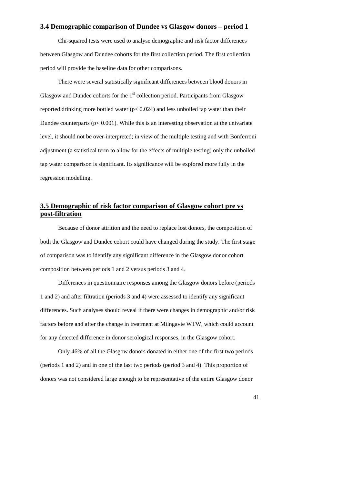### **3.4 Demographic comparison of Dundee vs Glasgow donors – period 1**

Chi-squared tests were used to analyse demographic and risk factor differences between Glasgow and Dundee cohorts for the first collection period. The first collection period will provide the baseline data for other comparisons.

There were several statistically significant differences between blood donors in Glasgow and Dundee cohorts for the  $1<sup>st</sup>$  collection period. Participants from Glasgow reported drinking more bottled water (p< 0.024) and less unboiled tap water than their Dundee counterparts ( $p < 0.001$ ). While this is an interesting observation at the univariate level, it should not be over-interpreted; in view of the multiple testing and with Bonferroni adjustment (a statistical term to allow for the effects of multiple testing) only the unboiled tap water comparison is significant. Its significance will be explored more fully in the regression modelling.

## **3.5 Demographic of risk factor comparison of Glasgow cohort pre vs post-filtration**

 Because of donor attrition and the need to replace lost donors, the composition of both the Glasgow and Dundee cohort could have changed during the study. The first stage of comparison was to identify any significant difference in the Glasgow donor cohort composition between periods 1 and 2 versus periods 3 and 4.

Differences in questionnaire responses among the Glasgow donors before (periods 1 and 2) and after filtration (periods 3 and 4) were assessed to identify any significant differences. Such analyses should reveal if there were changes in demographic and/or risk factors before and after the change in treatment at Milngavie WTW, which could account for any detected difference in donor serological responses, in the Glasgow cohort.

Only 46% of all the Glasgow donors donated in either one of the first two periods (periods 1 and 2) and in one of the last two periods (period 3 and 4). This proportion of donors was not considered large enough to be representative of the entire Glasgow donor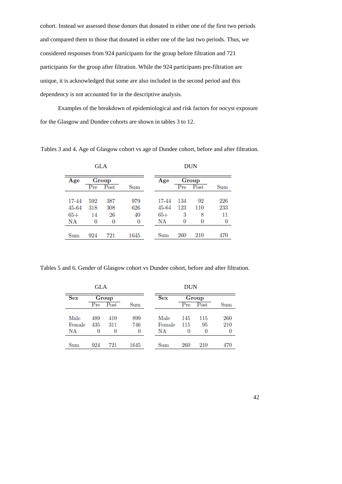cohort. Instead we assessed those donors that donated in either one of the first two periods and compared them to those that donated in either one of the last two periods. Thus, we considered responses from 924 participants for the group before filtration and 721 participants for the group after filtration. While the 924 participants pre-filtration are unique, it is acknowledged that some are also included in the second period and this dependency is not accounted for in the descriptive analysis.

Examples of the breakdown of epidemiological and risk factors for oocyst exposure for the Glasgow and Dundee cohorts are shown in tables 3 to 12.

Tables 3 and 4. Age of Glasgow cohort vs age of Dundee cohort, before and after filtration.

|       |     | <b>GLA</b> |      |       |     | <b>DUN</b> |     |
|-------|-----|------------|------|-------|-----|------------|-----|
| Age   |     | Group      |      | Age   |     | Group      |     |
|       | Pre | Post       | Sum  |       | Pre | Post       | Sum |
| 17-44 | 592 | 387        | 979  | 17-44 | 134 | 92         | 226 |
| 45-64 | 318 | 308        | 626  | 45-64 | 123 | 110        | 233 |
| $65+$ | 14  | 26         | 40   | $65+$ | 3   | 8          | 11  |
| NΑ    | 0   | 0          | 0    | ΝA    | 0   | 0          | 0   |
| Sum   | 924 | 721        | 1645 | Sum   | 260 | 210        | 470 |

Tables 5 and 6. Gender of Glasgow cohort vs Dundee cohort, before and after filtration.

|            | <b>GLA</b> |          |              |            | <b>DUN</b> |            |                 |
|------------|------------|----------|--------------|------------|------------|------------|-----------------|
| <b>Sex</b> |            | Group    |              | <b>Sex</b> |            | Group      |                 |
|            | Pre        | Post     | $_{\rm Sum}$ |            | Pre        | $\rm Post$ | $_{\text{Sum}}$ |
| Male       | 489        | 410      | 899          | Male       | 145        | 115        | 260             |
| Female     | 435        | 311      | 746          | Female     | 115        | 95         | 210             |
| ΝA         | 0          | $\bf{0}$ | 0            | NΑ         | 0          | 0          | 0               |
| Sum        | 924        | 721      | 1645         | Sum        | 260        | 210        | 470             |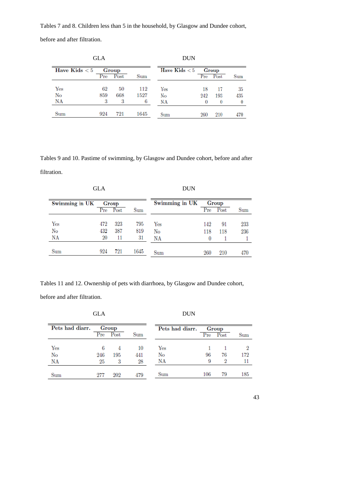Tables 7 and 8. Children less than 5 in the household, by Glasgow and Dundee cohort,

before and after filtration.

|                 | <b>GLA</b> |       | <b>DUN</b> |                 |     |          |     |
|-----------------|------------|-------|------------|-----------------|-----|----------|-----|
| Have Kids $< 5$ |            | Group |            | Have Kids $< 5$ |     | Group    |     |
|                 | Pre        | Post  | Sum        |                 | Pre | Post     | Sum |
| Yes             | 62         | 50    | 112        | Yes             | 18  | 17       | 35  |
| No              | 859        | 668   | 1527       | No              | 242 | 193      | 435 |
| NA              | 3          | 3     | 6          | NA              | 0   | $\bf{0}$ | 0   |
| Sum             | 924        | 721   | 1645       | Sum             | 260 | 210      | 470 |

Tables 9 and 10. Pastime of swimming, by Glasgow and Dundee cohort, before and after filtration.

|                | <b>GLA</b> |                   |      | <b>DUN</b>     |          |               |              |
|----------------|------------|-------------------|------|----------------|----------|---------------|--------------|
| Swimming in UK |            | Group<br>Pre Post | Sum  | Swimming in UK | Pre      | Group<br>Post | $_{\rm Sum}$ |
| Yes            | 472        | 323               | 795  | Yes            | 142      | 91            | 233          |
| No             | 432        | 387               | 819  | No             | 118      | 118           | 236          |
| <b>NA</b>      | $20\,$     | 11                | 31   | NA             | $\bf{0}$ |               |              |
| Sum            | 924        | 721               | 1645 | Sum            | 260      | 210           | 470          |

Tables 11 and 12. Ownership of pets with diarrhoea, by Glasgow and Dundee cohort,

before and after filtration.

### $\rm{DUN}$

| Pets had diarr. |                 | Group |     | Pets had diarr. |                   | Group |     |  |
|-----------------|-----------------|-------|-----|-----------------|-------------------|-------|-----|--|
|                 | Pr <sub>e</sub> | Post  | Sum |                 | $_{\mathrm{Pre}}$ | Post  | Sum |  |
| Yes             |                 |       | 10  | Yes             |                   |       |     |  |
| No              | 246             | 195   | 441 | No              | 96                | 76    | 172 |  |
| <b>NA</b>       | 25              | 3     | 28  | NA              | 9                 | 9     |     |  |
| Sum             | 277             | 202   | 479 | Sum             | 106               | 79    | 185 |  |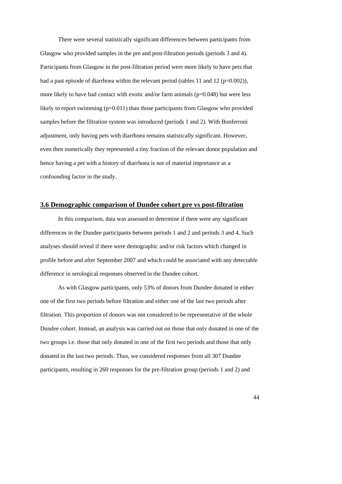There were several statistically significant differences between participants from Glasgow who provided samples in the pre and post-filtration periods (periods 3 and 4). Participants from Glasgow in the post-filtration period were more likely to have pets that had a past episode of diarrhoea within the relevant period (tables 11 and 12 ( $p=0.002$ )), more likely to have had contact with exotic and/or farm animals  $(p=0.048)$  but were less likely to report swimming (p=0.011) than those participants from Glasgow who provided samples before the filtration system was introduced (periods 1 and 2). With Bonferroni adjustment, only having pets with diarrhoea remains statistically significant. However, even then numerically they represented a tiny fraction of the relevant donor population and hence having a pet with a history of diarrhoea is not of material importance as a confounding factor in the study.

### **3.6 Demographic comparison of Dundee cohort pre vs post-filtration**

In this comparison, data was assessed to determine if there were any significant differences in the Dundee participants between periods 1 and 2 and periods 3 and 4. Such analyses should reveal if there were demographic and/or risk factors which changed in profile before and after September 2007 and which could be associated with any detectable difference in serological responses observed in the Dundee cohort.

 As with Glasgow participants, only 53% of donors from Dundee donated in either one of the first two periods before filtration and either one of the last two periods after filtration. This proportion of donors was not considered to be representative of the whole Dundee cohort. Instead, an analysis was carried out on those that only donated in one of the two groups i.e. those that only donated in one of the first two periods and those that only donated in the last two periods. Thus, we considered responses from all 307 Dundee participants, resulting in 260 responses for the pre-filtration group (periods 1 and 2) and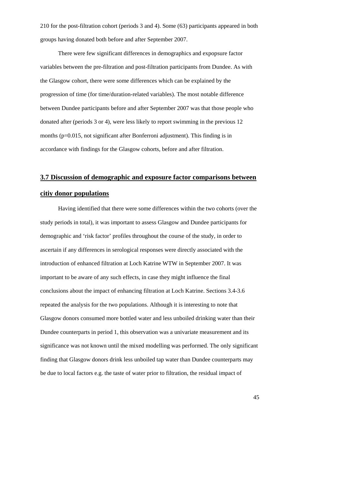210 for the post-filtration cohort (periods 3 and 4). Some (63) participants appeared in both groups having donated both before and after September 2007.

There were few significant differences in demographics and expopsure factor variables between the pre-filtration and post-filtration participants from Dundee. As with the Glasgow cohort, there were some differences which can be explained by the progression of time (for time/duration-related variables). The most notable difference between Dundee participants before and after September 2007 was that those people who donated after (periods 3 or 4), were less likely to report swimming in the previous 12 months (p=0.015, not significant after Bonferroni adjustment). This finding is in accordance with findings for the Glasgow cohorts, before and after filtration.

### **3.7 Discussion of demographic and exposure factor comparisons between**

### **citiy donor populations**

 Having identified that there were some differences within the two cohorts (over the study periods in total), it was important to assess Glasgow and Dundee participants for demographic and 'risk factor' profiles throughout the course of the study, in order to ascertain if any differences in serological responses were directly associated with the introduction of enhanced filtration at Loch Katrine WTW in September 2007. It was important to be aware of any such effects, in case they might influence the final conclusions about the impact of enhancing filtration at Loch Katrine. Sections 3.4-3.6 repeated the analysis for the two populations. Although it is interesting to note that Glasgow donors consumed more bottled water and less unboiled drinking water than their Dundee counterparts in period 1, this observation was a univariate measurement and its significance was not known until the mixed modelling was performed. The only significant finding that Glasgow donors drink less unboiled tap water than Dundee counterparts may be due to local factors e.g. the taste of water prior to filtration, the residual impact of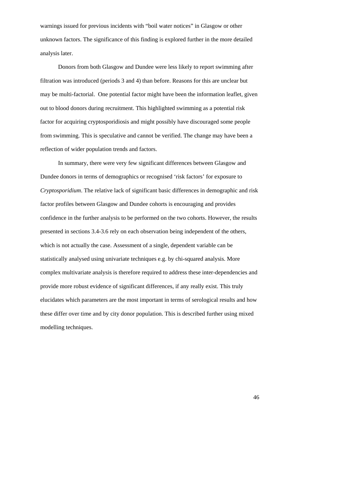warnings issued for previous incidents with "boil water notices" in Glasgow or other unknown factors. The significance of this finding is explored further in the more detailed analysis later.

 Donors from both Glasgow and Dundee were less likely to report swimming after filtration was introduced (periods 3 and 4) than before. Reasons for this are unclear but may be multi-factorial. One potential factor might have been the information leaflet, given out to blood donors during recruitment. This highlighted swimming as a potential risk factor for acquiring cryptosporidiosis and might possibly have discouraged some people from swimming. This is speculative and cannot be verified. The change may have been a reflection of wider population trends and factors.

 In summary, there were very few significant differences between Glasgow and Dundee donors in terms of demographics or recognised 'risk factors' for exposure to *Cryptosporidium*. The relative lack of significant basic differences in demographic and risk factor profiles between Glasgow and Dundee cohorts is encouraging and provides confidence in the further analysis to be performed on the two cohorts. However, the results presented in sections 3.4-3.6 rely on each observation being independent of the others, which is not actually the case. Assessment of a single, dependent variable can be statistically analysed using univariate techniques e.g. by chi-squared analysis. More complex multivariate analysis is therefore required to address these inter-dependencies and provide more robust evidence of significant differences, if any really exist. This truly elucidates which parameters are the most important in terms of serological results and how these differ over time and by city donor population. This is described further using mixed modelling techniques.

46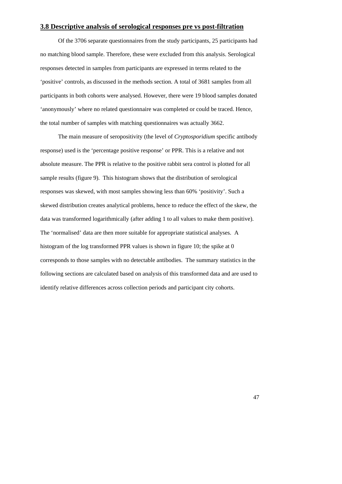### **3.8 Descriptive analysis of serological responses pre vs post-filtration**

 Of the 3706 separate questionnaires from the study participants, 25 participants had no matching blood sample. Therefore, these were excluded from this analysis. Serological responses detected in samples from participants are expressed in terms related to the 'positive' controls, as discussed in the methods section. A total of 3681 samples from all participants in both cohorts were analysed. However, there were 19 blood samples donated 'anonymously' where no related questionnaire was completed or could be traced. Hence, the total number of samples with matching questionnaires was actually 3662.

 The main measure of seropositivity (the level of *Cryptosporidium* specific antibody response) used is the 'percentage positive response' or PPR. This is a relative and not absolute measure. The PPR is relative to the positive rabbit sera control is plotted for all sample results (figure 9). This histogram shows that the distribution of serological responses was skewed, with most samples showing less than 60% 'positivity'. Such a skewed distribution creates analytical problems, hence to reduce the effect of the skew, the data was transformed logarithmically (after adding 1 to all values to make them positive). The 'normalised' data are then more suitable for appropriate statistical analyses. A histogram of the log transformed PPR values is shown in figure 10; the spike at 0 corresponds to those samples with no detectable antibodies. The summary statistics in the following sections are calculated based on analysis of this transformed data and are used to identify relative differences across collection periods and participant city cohorts.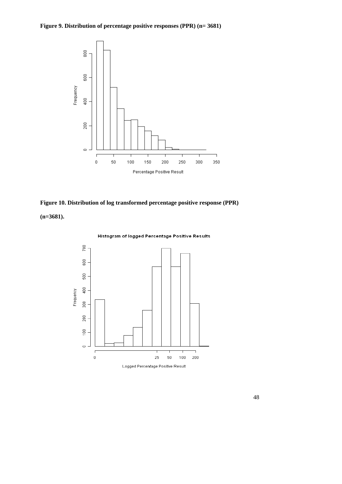



**(n=3681).** 



Logged Percentage Positive Result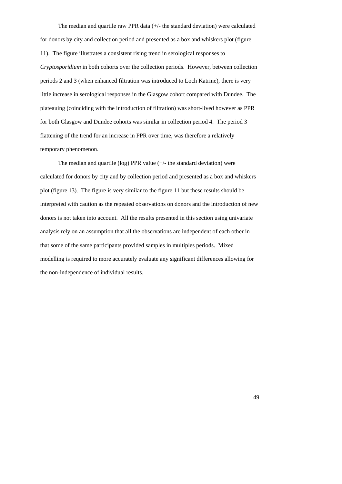The median and quartile raw PPR data (+/- the standard deviation) were calculated for donors by city and collection period and presented as a box and whiskers plot (figure 11). The figure illustrates a consistent rising trend in serological responses to *Cryptosporidium* in both cohorts over the collection periods. However, between collection periods 2 and 3 (when enhanced filtration was introduced to Loch Katrine), there is very little increase in serological responses in the Glasgow cohort compared with Dundee. The plateauing (coinciding with the introduction of filtration) was short-lived however as PPR for both Glasgow and Dundee cohorts was similar in collection period 4. The period 3 flattening of the trend for an increase in PPR over time, was therefore a relatively temporary phenomenon.

The median and quartile (log) PPR value  $(+/-$  the standard deviation) were calculated for donors by city and by collection period and presented as a box and whiskers plot (figure 13). The figure is very similar to the figure 11 but these results should be interpreted with caution as the repeated observations on donors and the introduction of new donors is not taken into account. All the results presented in this section using univariate analysis rely on an assumption that all the observations are independent of each other in that some of the same participants provided samples in multiples periods. Mixed modelling is required to more accurately evaluate any significant differences allowing for the non-independence of individual results.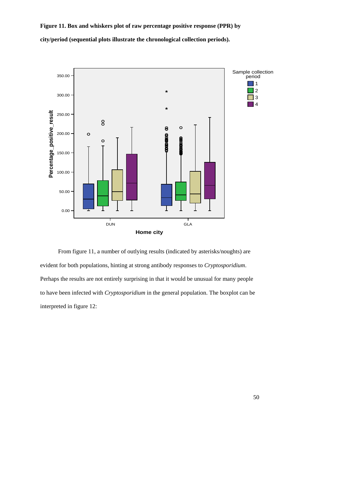**Figure 11. Box and whiskers plot of raw percentage positive response (PPR) by city/period (sequential plots illustrate the chronological collection periods).** 



 From figure 11, a number of outlying results (indicated by asterisks/noughts) are evident for both populations, hinting at strong antibody responses to *Cryptosporidium*. Perhaps the results are not entirely surprising in that it would be unusual for many people to have been infected with *Cryptosporidium* in the general population. The boxplot can be interpreted in figure 12: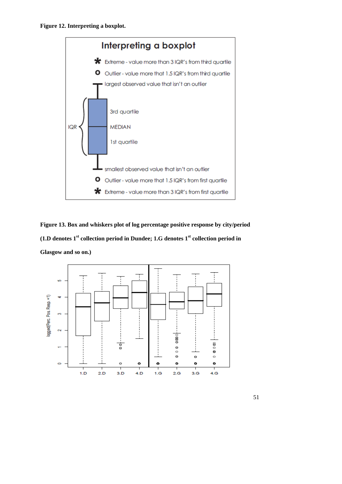

**Figure 13. Box and whiskers plot of log percentage positive response by city/period (1.D denotes 1st collection period in Dundee; 1.G denotes 1st collection period in Glasgow and so on.)** 

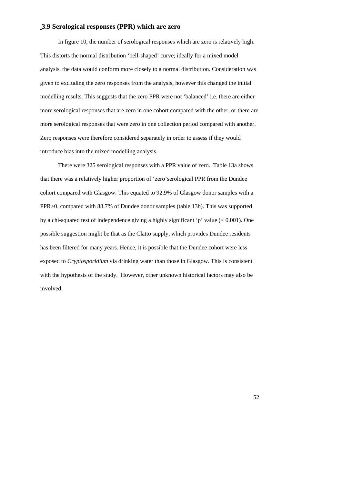### **3.9 Serological responses (PPR) which are zero**

In figure 10, the number of serological responses which are zero is relatively high. This distorts the normal distribution 'bell-shaped' curve; ideally for a mixed model analysis, the data would conform more closely to a normal distribution. Consideration was given to excluding the zero responses from the analysis, however this changed the initial modelling results. This suggests that the zero PPR were not 'balanced' i.e. there are either more serological responses that are zero in one cohort compared with the other, or there are more serological responses that were zero in one collection period compared with another. Zero responses were therefore considered separately in order to assess if they would introduce bias into the mixed modelling analysis.

There were 325 serological responses with a PPR value of zero. Table 13a shows that there was a relatively higher proportion of 'zero'serological PPR from the Dundee cohort compared with Glasgow. This equated to 92.9% of Glasgow donor samples with a PPR>0, compared with 88.7% of Dundee donor samples (table 13b). This was supported by a chi-squared test of independence giving a highly significant 'p' value  $(< 0.001$ ). One possible suggestion might be that as the Clatto supply, which provides Dundee residents has been filtered for many years. Hence, it is possible that the Dundee cohort were less exposed to *Cryptosporidium* via drinking water than those in Glasgow. This is consistent with the hypothesis of the study. However, other unknown historical factors may also be involved.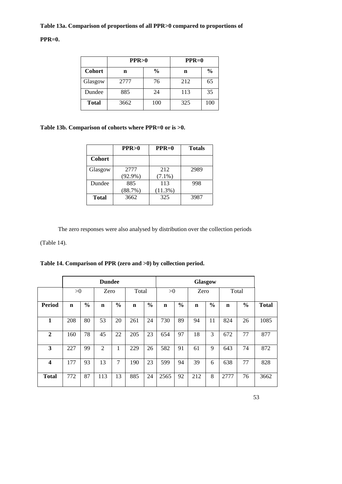# **Table 13a. Comparison of proportions of all PPR>0 compared to proportions of**

### **PPR=0.**

|               | PPR > 0 |               | $PPR=0$ |               |  |  |
|---------------|---------|---------------|---------|---------------|--|--|
| <b>Cohort</b> | n       | $\frac{0}{0}$ | n       | $\frac{0}{0}$ |  |  |
| Glasgow       | 2777    | 76            | 212     | 65            |  |  |
| Dundee        | 885     | 24            | 113     | 35            |  |  |
| <b>Total</b>  | 3662    | 100           | 325     | 100           |  |  |

### **Table 13b. Comparison of cohorts where PPR=0 or is >0.**

|               | PPR>0              | $PPR=0$          | <b>Totals</b> |
|---------------|--------------------|------------------|---------------|
| <b>Cohort</b> |                    |                  |               |
| Glasgow       | 2777<br>$(92.9\%)$ | 212<br>$(7.1\%)$ | 2989          |
| Dundee        | 885<br>(88.7%)     | 113<br>(11.3%)   | 998           |
| <b>Total</b>  | 3662               | 325              | 3987          |

The zero responses were also analysed by distribution over the collection periods

(Table 14).

**Table 14. Comparison of PPR (zero and >0) by collection period.** 

|                         | <b>Dundee</b> |               |                |               |             |               | Glasgow |               |             |               |             |               |              |
|-------------------------|---------------|---------------|----------------|---------------|-------------|---------------|---------|---------------|-------------|---------------|-------------|---------------|--------------|
|                         | >0            |               | Zero           |               | Total       |               | >0      |               | Zero        |               | Total       |               |              |
| Period                  | $\mathbf n$   | $\frac{0}{0}$ | $\mathbf n$    | $\frac{0}{0}$ | $\mathbf n$ | $\frac{0}{0}$ | n       | $\frac{0}{0}$ | $\mathbf n$ | $\frac{0}{0}$ | $\mathbf n$ | $\frac{0}{0}$ | <b>Total</b> |
| 1                       | 208           | 80            | 53             | 20            | 261         | 24            | 730     | 89            | 94          | 11            | 824         | 26            | 1085         |
| $\mathbf{2}$            | 160           | 78            | 45             | 22            | 205         | 23            | 654     | 97            | 18          | 3             | 672         | 77            | 877          |
| 3                       | 227           | 99            | $\mathfrak{2}$ | -             | 229         | 26            | 582     | 91            | 61          | 9             | 643         | 74            | 872          |
| $\overline{\mathbf{4}}$ | 177           | 93            | 13             | 7             | 190         | 23            | 599     | 94            | 39          | 6             | 638         | 77            | 828          |
| <b>Total</b>            | 772           | 87            | 113            | 13            | 885         | 24            | 2565    | 92            | 212         | 8             | 2777        | 76            | 3662         |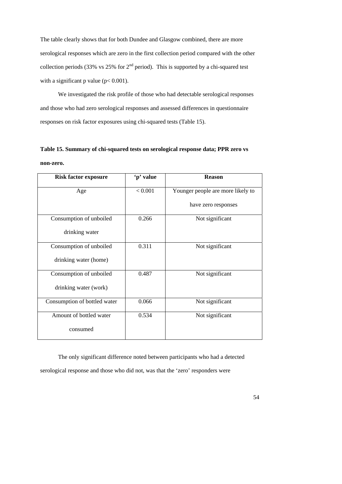The table clearly shows that for both Dundee and Glasgow combined, there are more serological responses which are zero in the first collection period compared with the other collection periods (33% vs 25% for  $2<sup>nd</sup>$  period). This is supported by a chi-squared test with a significant p value ( $p < 0.001$ ).

 We investigated the risk profile of those who had detectable serological responses and those who had zero serological responses and assessed differences in questionnaire responses on risk factor exposures using chi-squared tests (Table 15).

# **Table 15. Summary of chi-squared tests on serological response data; PPR zero vs non-zero.**

| <b>Risk factor exposure</b>  | 'p' value | <b>Reason</b>                     |
|------------------------------|-----------|-----------------------------------|
| Age                          | < 0.001   | Younger people are more likely to |
|                              |           | have zero responses               |
| Consumption of unboiled      | 0.266     | Not significant                   |
| drinking water               |           |                                   |
| Consumption of unboiled      | 0.311     | Not significant                   |
| drinking water (home)        |           |                                   |
| Consumption of unboiled      | 0.487     | Not significant                   |
| drinking water (work)        |           |                                   |
| Consumption of bottled water | 0.066     | Not significant                   |
| Amount of bottled water      | 0.534     | Not significant                   |
| consumed                     |           |                                   |

The only significant difference noted between participants who had a detected serological response and those who did not, was that the 'zero' responders were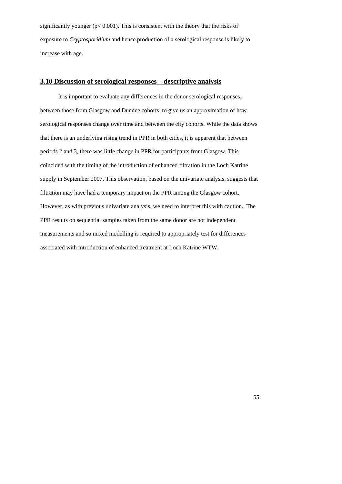significantly younger ( $p < 0.001$ ). This is consistent with the theory that the risks of exposure to *Cryptosporidium* and hence production of a serological response is likely to increase with age.

### **3.10 Discussion of serological responses – descriptive analysis**

It is important to evaluate any differences in the donor serological responses, between those from Glasgow and Dundee cohorts, to give us an approximation of how serological responses change over time and between the city cohorts. While the data shows that there is an underlying rising trend in PPR in both cities, it is apparent that between periods 2 and 3, there was little change in PPR for participants from Glasgow. This coincided with the timing of the introduction of enhanced filtration in the Loch Katrine supply in September 2007. This observation, based on the univariate analysis, suggests that filtration may have had a temporary impact on the PPR among the Glasgow cohort. However, as with previous univariate analysis, we need to interpret this with caution. The PPR results on sequential samples taken from the same donor are not independent measurements and so mixed modelling is required to appropriately test for differences associated with introduction of enhanced treatment at Loch Katrine WTW.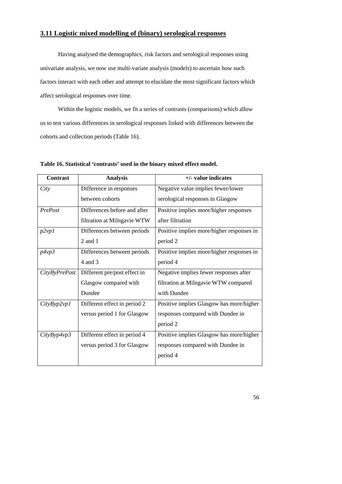### **3.11 Logistic mixed modelling of (binary) serological responses**

Having analysed the demographics, risk factors and serological responses using univariate analysis, we now use multi-variate analysis (models) to ascertain how such factors interact with each other and attempt to elucidate the most significant factors which affect serological responses over time.

Within the logistic models, we fit a series of contrasts (comparisons) which allow us to test various differences in serological responses linked with differences between the cohorts and collection periods (Table 16).

| <b>Contrast</b> | <b>Analysis</b>              | $+/-$ value indicates                     |
|-----------------|------------------------------|-------------------------------------------|
| City            | Difference in responses      | Negative value implies fewer/lower        |
|                 | between cohorts              | serological responses in Glasgow          |
| PrePost         | Differences before and after | Positive implies more/higher responses    |
|                 | filtration at Milngavie WTW  | after filtration                          |
| p2vp1           | Differences between periods  | Positive implies more/higher responses in |
|                 | $2$ and $1$                  | period 2                                  |
| p4vp3           | Differences between periods  | Positive implies more/higher responses in |
|                 | 4 and 3                      | period 4                                  |
| CityByPrePost   | Different pre/post effect in | Negative implies fewer responses after    |
|                 | Glasgow compared with        | filtration at Milngavie WTW compared      |
|                 | Dundee                       | with Dundee                               |
| CityByp2vp1     | Different effect in period 2 | Positive implies Glasgow has more/higher  |
|                 | versus period 1 for Glasgow  | responses compared with Dundee in         |
|                 |                              | period 2                                  |
| CityByp4vp3     | Different effect in period 4 | Positive implies Glasgow has more/higher  |
|                 | versus period 3 for Glasgow  | responses compared with Dundee in         |
|                 |                              | period 4                                  |

**Table 16. Statistical 'contrasts' used in the binary mixed effect model.**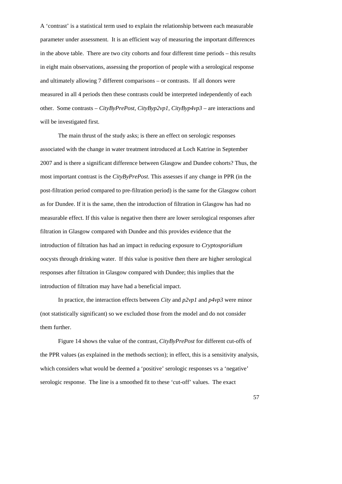A 'contrast' is a statistical term used to explain the relationship between each measurable parameter under assessment. It is an efficient way of measuring the important differences in the above table. There are two city cohorts and four different time periods – this results in eight main observations, assessing the proportion of people with a serological response and ultimately allowing 7 different comparisons – or contrasts. If all donors were measured in all 4 periods then these contrasts could be interpreted independently of each other. Some contrasts – *CityByPrePost, CityByp2vp1, CityByp4vp3* – are interactions and will be investigated first.

The main thrust of the study asks; is there an effect on serologic responses associated with the change in water treatment introduced at Loch Katrine in September 2007 and is there a significant difference between Glasgow and Dundee cohorts? Thus, the most important contrast is the *CityByPrePost*. This assesses if any change in PPR (in the post-filtration period compared to pre-filtration period) is the same for the Glasgow cohort as for Dundee. If it is the same, then the introduction of filtration in Glasgow has had no measurable effect. If this value is negative then there are lower serological responses after filtration in Glasgow compared with Dundee and this provides evidence that the introduction of filtration has had an impact in reducing exposure to *Cryptosporidium*  oocysts through drinking water. If this value is positive then there are higher serological responses after filtration in Glasgow compared with Dundee; this implies that the introduction of filtration may have had a beneficial impact.

 In practice, the interaction effects between *City* and *p2vp1* and *p4vp3* were minor (not statistically significant) so we excluded those from the model and do not consider them further.

Figure 14 shows the value of the contrast, *CityByPrePost* for different cut-offs of the PPR values (as explained in the methods section); in effect, this is a sensitivity analysis, which considers what would be deemed a 'positive' serologic responses vs a 'negative' serologic response. The line is a smoothed fit to these 'cut-off' values. The exact

57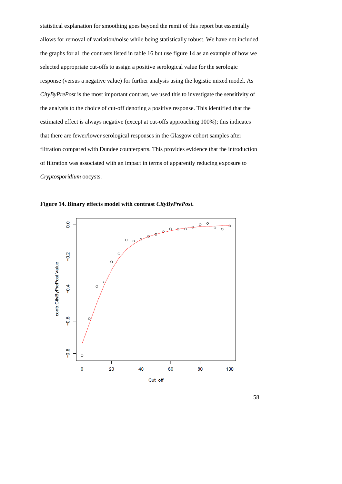statistical explanation for smoothing goes beyond the remit of this report but essentially allows for removal of variation/noise while being statistically robust. We have not included the graphs for all the contrasts listed in table 16 but use figure 14 as an example of how we selected appropriate cut-offs to assign a positive serological value for the serologic response (versus a negative value) for further analysis using the logistic mixed model. As *CityByPrePost* is the most important contrast, we used this to investigate the sensitivity of the analysis to the choice of cut-off denoting a positive response. This identified that the estimated effect is always negative (except at cut-offs approaching 100%); this indicates that there are fewer/lower serological responses in the Glasgow cohort samples after filtration compared with Dundee counterparts. This provides evidence that the introduction of filtration was associated with an impact in terms of apparently reducing exposure to *Cryptosporidium* oocysts.



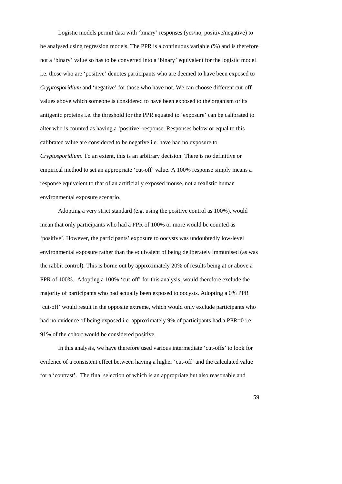Logistic models permit data with 'binary' responses (yes/no, positive/negative) to be analysed using regression models. The PPR is a continuous variable (%) and is therefore not a 'binary' value so has to be converted into a 'binary' equivalent for the logistic model i.e. those who are 'positive' denotes participants who are deemed to have been exposed to *Cryptosporidium* and 'negative' for those who have not. We can choose different cut-off values above which someone is considered to have been exposed to the organism or its antigenic proteins i.e. the threshold for the PPR equated to 'exposure' can be calibrated to alter who is counted as having a 'positive' response. Responses below or equal to this calibrated value are considered to be negative i.e. have had no exposure to *Cryptosporidium*. To an extent, this is an arbitrary decision. There is no definitive or empirical method to set an appropriate 'cut-off' value. A 100% response simply means a response equivelent to that of an artificially exposed mouse, not a realistic human environmental exposure scenario.

Adopting a very strict standard (e.g. using the positive control as 100%), would mean that only participants who had a PPR of 100% or more would be counted as 'positive'. However, the participants' exposure to oocysts was undoubtedly low-level environmental exposure rather than the equivalent of being deliberately immunised (as was the rabbit control). This is borne out by approximately 20% of results being at or above a PPR of 100%. Adopting a 100% 'cut-off' for this analysis, would therefore exclude the majority of participants who had actually been exposed to oocysts. Adopting a 0% PPR 'cut-off' would result in the opposite extreme, which would only exclude participants who had no evidence of being exposed i.e. approximately 9% of participants had a PPR=0 i.e. 91% of the cohort would be considered positive.

 In this analysis, we have therefore used various intermediate 'cut-offs' to look for evidence of a consistent effect between having a higher 'cut-off' and the calculated value for a 'contrast'. The final selection of which is an appropriate but also reasonable and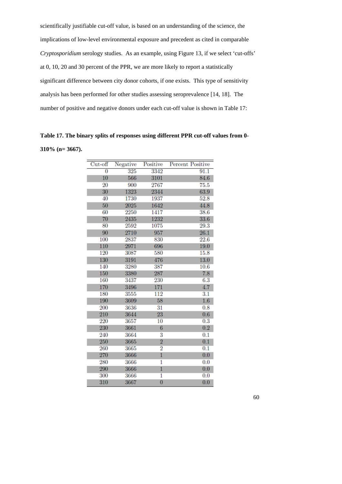scientifically justifiable cut-off value, is based on an understanding of the science, the implications of low-level environmental exposure and precedent as cited in comparable *Cryptosporidium* serology studies. As an example, using Figure 13, if we select 'cut-offs' at 0, 10, 20 and 30 percent of the PPR, we are more likely to report a statistically significant difference between city donor cohorts, if one exists. This type of sensitivity analysis has been performed for other studies assessing seroprevalence [14, 18]. The number of positive and negative donors under each cut-off value is shown in Table 17:

**Table 17. The binary splits of responses using different PPR cut-off values from 0- 310% (n= 3667).** 

| $Cut-off$ | Negative | Positive       | <b>Percent Positive</b> |
|-----------|----------|----------------|-------------------------|
| 0         | 325      | 3342           | 91.1                    |
| 10        | 566      | 3101           | 84.6                    |
| 20        | 900      | 2767           | 75.5                    |
| 30        | 1323     | 2344           | 63.9                    |
| 40        | 1730     | 1937           | 52.8                    |
| 50        | 2025     | 1642           | 44.8                    |
| 60        | 2250     | 1417           | 38.6                    |
| 70        | 2435     | 1232           | 33.6                    |
| 80        | 2592     | 1075           | 29.3                    |
| 90        | 2710     | 957            | 26.1                    |
| 100       | 2837     | 830            | 22.6                    |
| 110       | 2971     | 696            | 19.0                    |
| 120       | 3087     | 580            | 15.8                    |
| 130       | 3191     | 476            | 13.0                    |
| 140       | 3280     | 387            | 10.6                    |
| 150       | 3380     | 287            | 7.8                     |
| 160       | 3437     | 230            | 6.3                     |
| 170       | 3496     | 171            | 4.7                     |
| 180       | 3555     | 112            | 3.1                     |
| 190       | 3609     | 58             | 1.6                     |
| 200       | 3636     | 31             | 0.8                     |
| 210       | 3644     | 23             | 0.6                     |
| 220       | 3657     | 10             | $\overline{0.3}$        |
| 230       | 3661     | 6              | 0.2                     |
| 240       | 3664     | 3              | 0.1                     |
| 250       | 3665     | $\overline{2}$ | 0.1                     |
| 260       | 3665     | $\overline{2}$ | 0.1                     |
| 270       | 3666     | $\mathbf{1}$   | 0.0                     |
| 280       | 3666     | 1              | 0.0                     |
| 290       | 3666     | 1              | 0.0                     |
| 300       | 3666     | 1              | 0.0                     |
| 310       | 3667     | $\overline{0}$ | 0.0                     |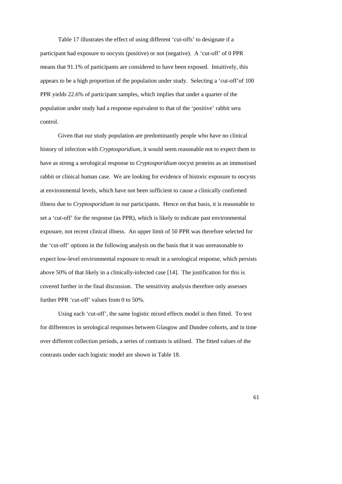Table 17 illustrates the effect of using different 'cut-offs' to designate if a participant had exposure to oocysts (positive) or not (negative). A 'cut-off' of 0 PPR means that 91.1% of participants are considered to have been exposed. Intuitively, this appears to be a high proportion of the population under study. Selecting a 'cut-off'of 100 PPR yields 22.6% of participant samples, which implies that under a quarter of the population under study had a response equivalent to that of the 'positive' rabbit sera control.

 Given that our study population are predominantly people who have no clinical history of infection with *Cryptosporidium*, it would seem reasonable not to expect them to have as strong a serological response to *Cryptosporidium* oocyst proteins as an immunised rabbit or clinical human case. We are looking for evidence of historic exposure to oocysts at environmental levels, which have not been sufficient to cause a clinically confirmed illness due to *Cryptosporidium* in our participants. Hence on that basis, it is reasonable to set a 'cut-off' for the response (as PPR), which is likely to indicate past environmental exposure, not recent clinical illness. An upper limit of 50 PPR was therefore selected for the 'cut-off' options in the following analysis on the basis that it was unreasonable to expect low-level environmental exposure to result in a serological response, which persists above 50% of that likely in a clinically-infected case [14]. The justification for this is covered further in the final discussion. The sensitivity analysis therefore only assesses further PPR 'cut-off' values from 0 to 50%.

 Using each 'cut-off', the same logistic mixed effects model is then fitted. To test for differences in serological responses between Glasgow and Dundee cohorts, and in time over different collection periods, a series of contrasts is utilised. The fitted values of the contrasts under each logistic model are shown in Table 18.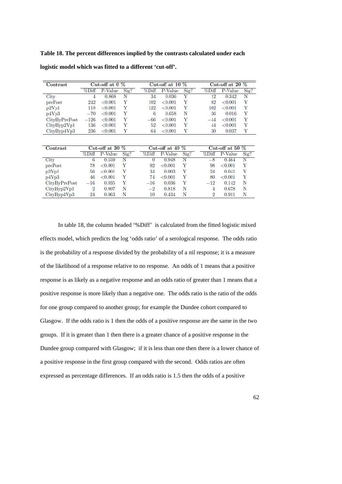# **Table 18. The percent differences implied by the contrasts calculated under each**

| Contrast      | Cut-off at $0\%$ |            |               | Cut-off at 10 $\%$ |              |                 | Cut-off at 20 $\%$ |            |      |
|---------------|------------------|------------|---------------|--------------------|--------------|-----------------|--------------------|------------|------|
|               | %Diff            | P-Value    | $\text{Sig?}$ | %Diff              | P-Value      | $\mathrm{Sig?}$ | %Diff              | P-Value    | Sig? |
| City          |                  | 0.868      | N             | 34                 | 0.036        | V               | 12                 | 0.342      | N    |
| prePost       | 242              | ${<}0.001$ | V             | 102                | ${<}0.001$   | Y               | 82                 | ${<}0.001$ |      |
| p2Vp1         | 118              | ${<}0.001$ | V             | 122                | ${<}0.001$   | Y               | 102                | ${<}0.001$ |      |
| p4Vp3         | $-70$            | ${<}0.001$ | Y             | 6                  | 0.658        | N               | 36                 | 0.016      |      |
| CityByPrePost | $-126$           | ${<}0.001$ | V             | -66                | ${<}0.001$   | Y               | $-44$              | ${<}0.001$ |      |
| CityByp2Vp1   | 136              | ${<}0.001$ | V             | 52                 | ${<}0.001$   | Y               | 44                 | ${<}0.001$ |      |
| CityByp4Vp3   | 236              | ${<}0.001$ |               | 64                 | $<\!\!0.001$ | v               | 30                 | 0.037      |      |

**logistic model which was fitted to a different 'cut-off'.** 

| Contrast      | Cut-off at $30\%$ |            | Cut-off at $40\%$ |       |            | Cut-off at 50 $%$ |          |            |      |
|---------------|-------------------|------------|-------------------|-------|------------|-------------------|----------|------------|------|
|               | %Diff             | P-Value    | $\text{Sig?}$     | %Diff | P-Value    | $\text{Sig?}$     | %Diff    | P-Value    | Sig? |
| City          | 6                 | 0.559      | N                 |       | 0.948      | N                 | -8       | 0.464      | N    |
| prePost       | 78                | ${<}0.001$ | Y                 | 92    | ${<}0.001$ | Y                 | 98       | ${<}0.001$ | V    |
| p2Vp1         | 56                | ${<}0.001$ |                   | 34    | 0.003      | Y                 | 24       | 0.041      |      |
| p4Vp3         | 46                | ${<}0.001$ | V                 | 74    | ${<}0.001$ | Y                 | 80       | ${<}0.001$ |      |
| CityByPrePost | $-16$             | 0.035      | Y                 | $-16$ | 0.036      | Y                 | $^{-12}$ | 0.142      | Ν    |
| CityByp2Vp1   | $\overline{2}$    | 0.807      | N                 | $-2$  | 0.818      | N                 | 4        | 0.678      | N    |
| CityByp4Vp3   | 24                | 0.063      | N                 | 10    | 0.434      | N                 | 2        | 0.911      | N    |

In table 18, the column headed '%Diff' is calculated from the fitted logistic mixed effects model, which predicts the log 'odds ratio' of a serological response. The odds ratio is the probability of a response divided by the probability of a nil response; it is a measure of the likelihood of a response relative to no response. An odds of 1 means that a positive response is as likely as a negative response and an odds ratio of greater than 1 means that a positive response is more likely than a negative one. The odds ratio is the ratio of the odds for one group compared to another group; for example the Dundee cohort compared to Glasgow. If the odds ratio is 1 then the odds of a positive response are the same in the two groups. If it is greater than 1 then there is a greater chance of a positive response in the Dundee group compared with Glasgow; if it is less than one then there is a lower chance of a positive response in the first group compared with the second. Odds ratios are often expressed as percentage differences. If an odds ratio is 1.5 then the odds of a positive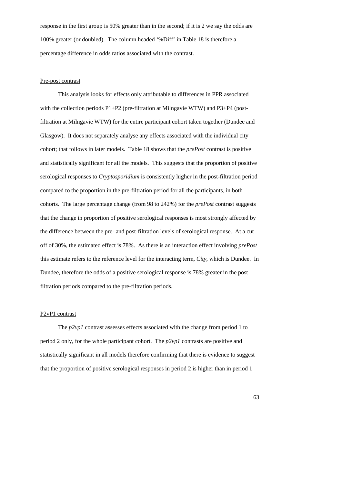response in the first group is 50% greater than in the second; if it is 2 we say the odds are 100% greater (or doubled). The column headed '%Diff' in Table 18 is therefore a percentage difference in odds ratios associated with the contrast.

### Pre-post contrast

This analysis looks for effects only attributable to differences in PPR associated with the collection periods  $P1+P2$  (pre-filtration at Milngavie WTW) and  $P3+P4$  (postfiltration at Milngavie WTW) for the entire participant cohort taken together (Dundee and Glasgow). It does not separately analyse any effects associated with the individual city cohort; that follows in later models. Table 18 shows that the *prePost* contrast is positive and statistically significant for all the models. This suggests that the proportion of positive serological responses to *Cryptosporidium* is consistently higher in the post-filtration period compared to the proportion in the pre-filtration period for all the participants, in both cohorts. The large percentage change (from 98 to 242%) for the *prePost* contrast suggests that the change in proportion of positive serological responses is most strongly affected by the difference between the pre- and post-filtration levels of serological response. At a cut off of 30%, the estimated effect is 78%. As there is an interaction effect involving *prePost* this estimate refers to the reference level for the interacting term, *City*, which is Dundee. In Dundee, therefore the odds of a positive serological response is 78% greater in the post filtration periods compared to the pre-filtration periods.

### P2vP1 contrast

The *p2vp1* contrast assesses effects associated with the change from period 1 to period 2 only, for the whole participant cohort. The *p2vp1* contrasts are positive and statistically significant in all models therefore confirming that there is evidence to suggest that the proportion of positive serological responses in period 2 is higher than in period 1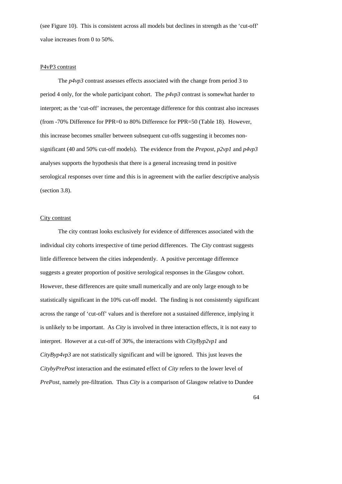(see Figure 10). This is consistent across all models but declines in strength as the 'cut-off' value increases from 0 to 50%.

#### P4vP3 contrast

The *p4vp3* contrast assesses effects associated with the change from period 3 to period 4 only, for the whole participant cohort. The *p4vp3* contrast is somewhat harder to interpret; as the 'cut-off' increases, the percentage difference for this contrast also increases (from -70% Difference for PPR=0 to 80% Difference for PPR=50 (Table 18). However, this increase becomes smaller between subsequent cut-offs suggesting it becomes nonsignificant (40 and 50% cut-off models). The evidence from the *Prepost*, *p2vp1* and *p4vp3* analyses supports the hypothesis that there is a general increasing trend in positive serological responses over time and this is in agreement with the earlier descriptive analysis (section 3.8).

### City contrast

The city contrast looks exclusively for evidence of differences associated with the individual city cohorts irrespective of time period differences. The *City* contrast suggests little difference between the cities independently. A positive percentage difference suggests a greater proportion of positive serological responses in the Glasgow cohort. However, these differences are quite small numerically and are only large enough to be statistically significant in the 10% cut-off model. The finding is not consistently significant across the range of 'cut-off' values and is therefore not a sustained difference, implying it is unlikely to be important. As *City* is involved in three interaction effects, it is not easy to interpret. However at a cut-off of 30%, the interactions with *CityByp2vp1* and *CityByp4vp3* are not statistically significant and will be ignored. This just leaves the *CitybyPrePost* interaction and the estimated effect of *City* refers to the lower level of *PrePost*, namely pre-filtration. Thus *City* is a comparison of Glasgow relative to Dundee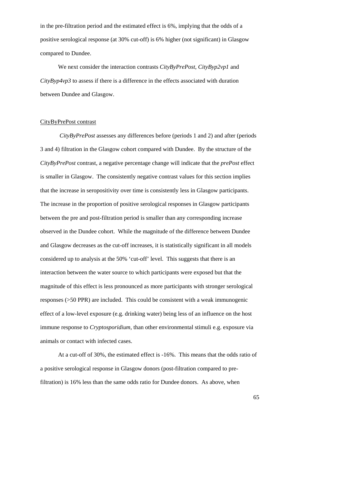in the pre-filtration period and the estimated effect is 6%, implying that the odds of a positive serological response (at 30% cut-off) is 6% higher (not significant) in Glasgow compared to Dundee.

We next consider the interaction contrasts *CityByPrePost*, *CityByp2vp1* and *CityByp4vp3* to assess if there is a difference in the effects associated with duration between Dundee and Glasgow.

#### CityByPrePost contrast

*CityByPrePost* assesses any differences before (periods 1 and 2) and after (periods 3 and 4) filtration in the Glasgow cohort compared with Dundee. By the structure of the *CityByPrePost* contrast, a negative percentage change will indicate that the *prePost* effect is smaller in Glasgow. The consistently negative contrast values for this section implies that the increase in seropositivity over time is consistently less in Glasgow participants. The increase in the proportion of positive serological responses in Glasgow participants between the pre and post-filtration period is smaller than any corresponding increase observed in the Dundee cohort. While the magnitude of the difference between Dundee and Glasgow decreases as the cut-off increases, it is statistically significant in all models considered up to analysis at the 50% 'cut-off' level. This suggests that there is an interaction between the water source to which participants were exposed but that the magnitude of this effect is less pronounced as more participants with stronger serological responses (>50 PPR) are included. This could be consistent with a weak immunogenic effect of a low-level exposure (e.g. drinking water) being less of an influence on the host immune response to *Cryptosporidium*, than other environmental stimuli e.g. exposure via animals or contact with infected cases.

At a cut-off of 30%, the estimated effect is -16%. This means that the odds ratio of a positive serological response in Glasgow donors (post-filtration compared to prefiltration) is 16% less than the same odds ratio for Dundee donors. As above, when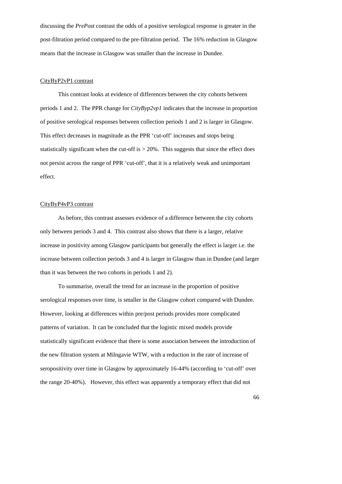discussing the *PrePost* contrast the odds of a positive serological response is greater in the post-filtration period compared to the pre-filtration period. The 16% reduction in Glasgow means that the increase in Glasgow was smaller than the increase in Dundee.

#### CityByP2vP1 contrast

This contrast looks at evidence of differences between the city cohorts between periods 1 and 2. The PPR change for *CityByp2vp1* indicates that the increase in proportion of positive serological responses between collection periods 1 and 2 is larger in Glasgow. This effect decreases in magnitude as the PPR 'cut-off' increases and stops being statistically significant when the cut-off is  $> 20\%$ . This suggests that since the effect does not persist across the range of PPR 'cut-off', that it is a relatively weak and unimportant effect.

#### CityByP4vP3 contrast

As before, this contrast assesses evidence of a difference between the city cohorts only between periods 3 and 4. This contrast also shows that there is a larger, relative increase in positivity among Glasgow participants but generally the effect is larger i.e. the increase between collection periods 3 and 4 is larger in Glasgow than in Dundee (and larger than it was between the two cohorts in periods 1 and 2).

To summarise, overall the trend for an increase in the proportion of positive serological responses over time, is smaller in the Glasgow cohort compared with Dundee. However, looking at differences within pre/post periods provides more complicated patterns of variation. It can be concluded that the logistic mixed models provide statistically significant evidence that there is some association between the introduction of the new filtration system at Milngavie WTW, with a reduction in the rate of increase of seropositivity over time in Glasgow by approximately 16-44% (according to 'cut-off' over the range 20-40%). However, this effect was apparently a temporary effect that did not

66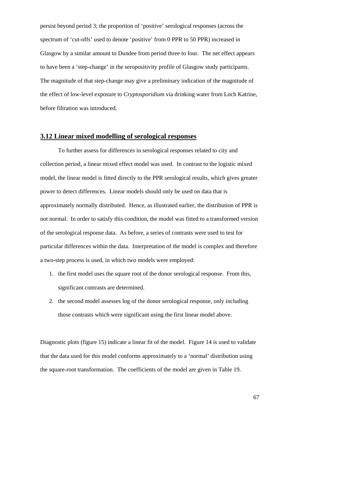persist beyond period 3; the proportion of 'positive' serological responses (across the spectrum of 'cut-offs' used to denote 'positive' from 0 PPR to 50 PPR) increased in Glasgow by a similar amount to Dundee from period three to four. The net effect appears to have been a 'step-change' in the seropositivity profile of Glasgow study participants. The magnitude of that step-change may give a preliminary indication of the magnitude of the effect of low-level exposure to *Cryptosporidium* via drinking water from Loch Katrine, before filtration was introduced.

### **3.12 Linear mixed modelling of serological responses**

 To further assess for differences in serological responses related to city and collection period, a linear mixed effect model was used. In contrast to the logistic mixed model, the linear model is fitted directly to the PPR serological results, which gives greater power to detect differences. Linear models should only be used on data that is approximately normally distributed. Hence, as illustrated earlier, the distribution of PPR is not normal. In order to satisfy this condition, the model was fitted to a transformed version of the serological response data. As before, a series of contrasts were used to test for particular differences within the data. Interpretation of the model is complex and therefore a two-step process is used, in which two models were employed:

- 1. the first model uses the square root of the donor serological response. From this, significant contrasts are determined.
- 2. the second model assesses log of the donor serological response, only including those contrasts which were significant using the first linear model above.

Diagnostic plots (figure 15) indicate a linear fit of the model. Figure 14 is used to validate that the data used for this model conforms approximately to a 'normal' distribution using the square-root transformation. The coefficients of the model are given in Table 19.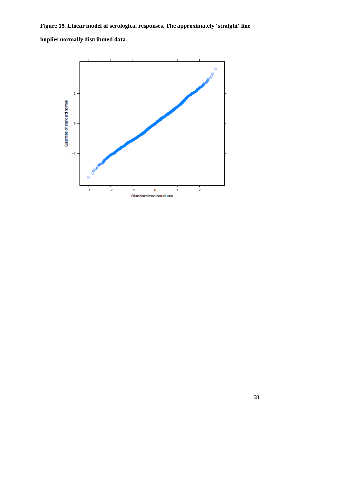**Figure 15. Linear model of serological responses. The approximately 'straight' line implies normally distributed data.** 

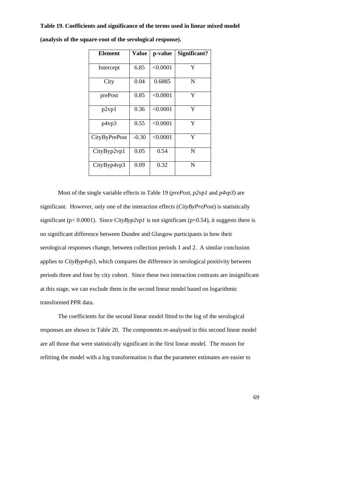#### **Table 19. Coefficients and significance of the terms used in linear mixed model**

| <b>Element</b>       | <b>Value</b> | p-value  | Significant? |
|----------------------|--------------|----------|--------------|
| Intercept            | 6.85         | < 0.0001 | Y            |
| City                 | 0.04         | 0.6885   | N            |
| prePost              | 0.85         | < 0.0001 | Y            |
| p2vp1                | 0.36         | < 0.0001 | Y            |
| p4vp3                | 0.55         | < 0.0001 | Y            |
| <b>CityByPrePost</b> | $-0.30$      | < 0.0001 | Y            |
| CityByp2vp1          | 0.05         | 0.54     | N            |
| CityByp4vp3          | 0.09         | 0.32     | N            |

**(analysis of the square-root of the serological response).** 

Most of the single variable effects in Table 19 (*prePost*, *p2vp1* and *p4vp3*) are significant. However, only one of the interaction effects (*CityByPrePost*) is statistically significant ( $p < 0.0001$ ). Since *CityByp2vp1* is not significant ( $p = 0.54$ ), it suggests there is no significant difference between Dundee and Glasgow participants in how their serological responses change, between collection periods 1 and 2. A similar conclusion applies to *CityByp4vp3*, which compares the difference in serological positivity between periods three and four by city cohort. Since these two interaction contrasts are insignificant at this stage, we can exclude them in the second linear model based on logarithmic transformed PPR data.

 The coefficients for the second linear model fitted to the log of the serological responses are shown in Table 20. The components re-analysed in this second linear model are all those that were statistically significant in the first linear model. The reason for refitting the model with a log transformation is that the parameter estimates are easier to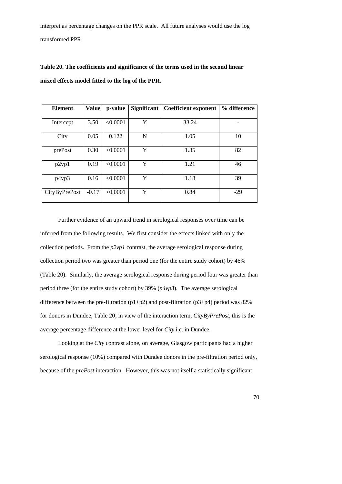interpret as percentage changes on the PPR scale. All future analyses would use the log transformed PPR.

**Table 20. The coefficients and significance of the terms used in the second linear mixed effects model fitted to the log of the PPR.** 

| <b>Element</b> | <b>Value</b> | p-value  | Significant<br><b>Coefficient exponent</b> |       | % difference |
|----------------|--------------|----------|--------------------------------------------|-------|--------------|
|                |              |          |                                            |       |              |
| Intercept      | 3.50         | < 0.0001 | Y                                          | 33.24 |              |
| City           | 0.05         | 0.122    | $\mathbf N$                                | 1.05  | 10           |
| prePost        | 0.30         | < 0.0001 | Y                                          | 1.35  | 82           |
| p2vp1          | 0.19         | < 0.0001 | Y                                          | 1.21  | 46           |
| p4vp3          | 0.16         | < 0.0001 | Y                                          | 1.18  | 39           |
| CityByPrePost  | $-0.17$      | < 0.0001 | Y                                          | 0.84  | $-29$        |

 Further evidence of an upward trend in serological responses over time can be inferred from the following results. We first consider the effects linked with only the collection periods. From the *p2vp1* contrast, the average serological response during collection period two was greater than period one (for the entire study cohort) by 46% (Table 20). Similarly, the average serological response during period four was greater than period three (for the entire study cohort) by 39% (*p4vp3*). The average serological difference between the pre-filtration  $(p1+p2)$  and post-filtration  $(p3+p4)$  period was 82% for donors in Dundee, Table 20; in view of the interaction term, *CityByPrePost*, this is the average percentage difference at the lower level for *City* i.e. in Dundee.

 Looking at the *City* contrast alone, on average, Glasgow participants had a higher serological response (10%) compared with Dundee donors in the pre-filtration period only, because of the *prePost* interaction. However, this was not itself a statistically significant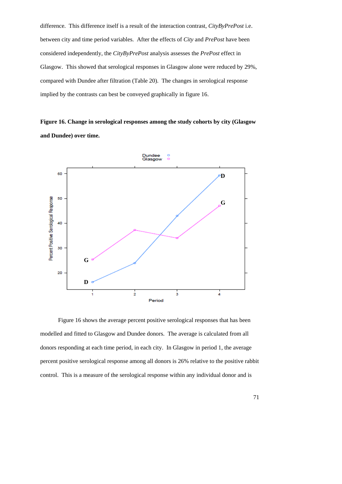difference. This difference itself is a result of the interaction contrast, *CityByPrePost* i.e. between city and time period variables. After the effects of *City* and *PrePost* have been considered independently, the *CityByPrePost* analysis assesses the *PrePost* effect in Glasgow. This showed that serological responses in Glasgow alone were reduced by 29%, compared with Dundee after filtration (Table 20). The changes in serological response implied by the contrasts can best be conveyed graphically in figure 16.

**Figure 16. Change in serological responses among the study cohorts by city (Glasgow and Dundee) over time.** 



 Figure 16 shows the average percent positive serological responses that has been modelled and fitted to Glasgow and Dundee donors. The average is calculated from all donors responding at each time period, in each city. In Glasgow in period 1, the average percent positive serological response among all donors is 26% relative to the positive rabbit control. This is a measure of the serological response within any individual donor and is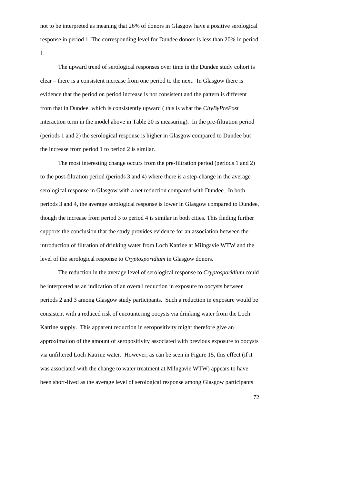not to be interpreted as meaning that 26% of donors in Glasgow have a positive serological response in period 1. The corresponding level for Dundee donors is less than 20% in period 1.

The upward trend of serological responses over time in the Dundee study cohort is clear – there is a consistent increase from one period to the next. In Glasgow there is evidence that the period on period increase is not consistent and the pattern is different from that in Dundee, which is consistently upward ( this is what the *CityByPrePost* interaction term in the model above in Table 20 is measuring). In the pre-filtration period (periods 1 and 2) the serological response is higher in Glasgow compared to Dundee but the increase from period 1 to period 2 is similar.

The most interesting change occurs from the pre-filtration period (periods 1 and 2) to the post-filtration period (periods 3 and 4) where there is a step-change in the average serological response in Glasgow with a net reduction compared with Dundee. In both periods 3 and 4, the average serological response is lower in Glasgow compared to Dundee, though the increase from period 3 to period 4 is similar in both cities. This finding further supports the conclusion that the study provides evidence for an association between the introduction of filtration of drinking water from Loch Katrine at Milngavie WTW and the level of the serological response to *Cryptosporidium* in Glasgow donors.

 The reduction in the average level of serological response to *Cryptosporidium* could be interpreted as an indication of an overall reduction in exposure to oocysts between periods 2 and 3 among Glasgow study participants. Such a reduction in exposure would be consistent with a reduced risk of encountering oocysts via drinking water from the Loch Katrine supply. This apparent reduction in seropositivity might therefore give an approximation of the amount of seropositivity associated with previous exposure to oocysts via unfiltered Loch Katrine water. However, as can be seen in Figure 15, this effect (if it was associated with the change to water treatment at Milngavie WTW) appears to have been short-lived as the average level of serological response among Glasgow participants

72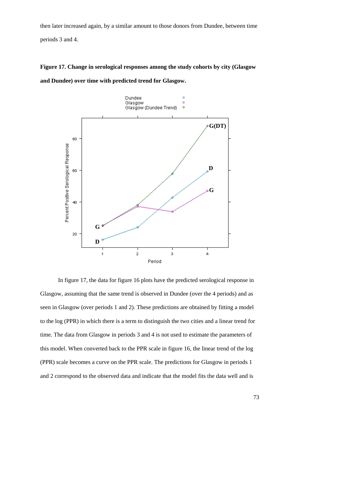then later increased again, by a similar amount to those donors from Dundee, between time

periods 3 and 4.

## **Figure 17. Change in serological responses among the study cohorts by city (Glasgow**



**and Dundee) over time with predicted trend for Glasgow.** 

 In figure 17, the data for figure 16 plots have the predicted serological response in Glasgow, assuming that the same trend is observed in Dundee (over the 4 periods) and as seen in Glasgow (over periods 1 and 2). These predictions are obtained by fitting a model to the log (PPR) in which there is a term to distinguish the two cities and a linear trend for time. The data from Glasgow in periods 3 and 4 is not used to estimate the parameters of this model. When converted back to the PPR scale in figure 16, the linear trend of the log (PPR) scale becomes a curve on the PPR scale. The predictions for Glasgow in periods 1 and 2 correspond to the observed data and indicate that the model fits the data well and is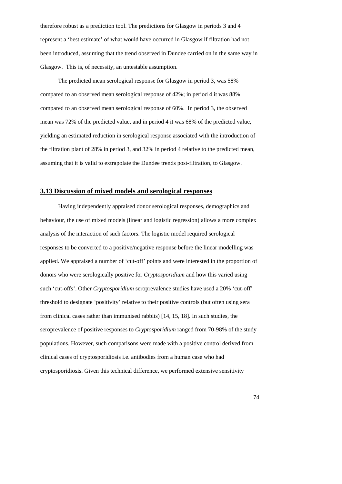therefore robust as a prediction tool. The predictions for Glasgow in periods 3 and 4 represent a 'best estimate' of what would have occurred in Glasgow if filtration had not been introduced, assuming that the trend observed in Dundee carried on in the same way in Glasgow. This is, of necessity, an untestable assumption.

The predicted mean serological response for Glasgow in period 3, was 58% compared to an observed mean serological response of 42%; in period 4 it was 88% compared to an observed mean serological response of 60%. In period 3, the observed mean was 72% of the predicted value, and in period 4 it was 68% of the predicted value, yielding an estimated reduction in serological response associated with the introduction of the filtration plant of 28% in period 3, and 32% in period 4 relative to the predicted mean, assuming that it is valid to extrapolate the Dundee trends post-filtration, to Glasgow.

## **3.13 Discussion of mixed models and serological responses**

 Having independently appraised donor serological responses, demographics and behaviour, the use of mixed models (linear and logistic regression) allows a more complex analysis of the interaction of such factors. The logistic model required serological responses to be converted to a positive/negative response before the linear modelling was applied. We appraised a number of 'cut-off' points and were interested in the proportion of donors who were serologically positive for *Cryptosporidium* and how this varied using such 'cut-offs'. Other *Cryptosporidium* seroprevalence studies have used a 20% 'cut-off' threshold to designate 'positivity' relative to their positive controls (but often using sera from clinical cases rather than immunised rabbits) [14, 15, 18]. In such studies, the seroprevalence of positive responses to *Cryptosporidium* ranged from 70-98% of the study populations. However, such comparisons were made with a positive control derived from clinical cases of cryptosporidiosis i.e. antibodies from a human case who had cryptosporidiosis. Given this technical difference, we performed extensive sensitivity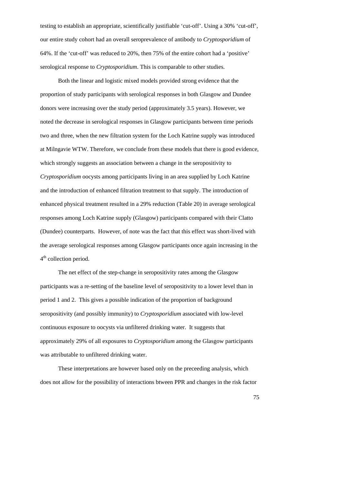testing to establish an appropriate, scientifically justifiable 'cut-off'. Using a 30% 'cut-off', our entire study cohort had an overall seroprevalence of antibody to *Cryptosporidium* of 64%. If the 'cut-off' was reduced to 20%, then 75% of the entire cohort had a 'positive' serological response to *Cryptosporidium*. This is comparable to other studies.

 Both the linear and logistic mixed models provided strong evidence that the proportion of study participants with serological responses in both Glasgow and Dundee donors were increasing over the study period (approximately 3.5 years). However, we noted the decrease in serological responses in Glasgow participants between time periods two and three, when the new filtration system for the Loch Katrine supply was introduced at Milngavie WTW. Therefore, we conclude from these models that there is good evidence, which strongly suggests an association between a change in the seropositivity to *Cryptosporidium* oocysts among participants living in an area supplied by Loch Katrine and the introduction of enhanced filtration treatment to that supply. The introduction of enhanced physical treatment resulted in a 29% reduction (Table 20) in average serological responses among Loch Katrine supply (Glasgow) participants compared with their Clatto (Dundee) counterparts. However, of note was the fact that this effect was short-lived with the average serological responses among Glasgow participants once again increasing in the 4<sup>th</sup> collection period.

 The net effect of the step-change in seropositivity rates among the Glasgow participants was a re-setting of the baseline level of seropositivity to a lower level than in period 1 and 2. This gives a possible indication of the proportion of background seropositivity (and possibly immunity) to *Cryptosporidium* associated with low-level continuous exposure to oocysts via unfiltered drinking water. It suggests that approximately 29% of all exposures to *Cryptosporidium* among the Glasgow participants was attributable to unfiltered drinking water.

 These interpretations are however based only on the preceeding analysis, which does not allow for the possibility of interactions btween PPR and changes in the risk factor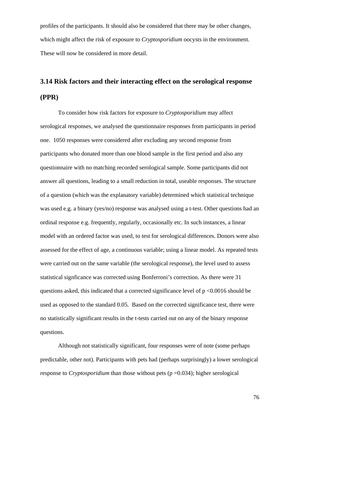profiles of the participants. It should also be considered that there may be other changes, which might affect the risk of exposure to *Cryptosporidium* oocysts in the environment. These will now be considered in more detail.

# **3.14 Risk factors and their interacting effect on the serological response (PPR)**

 To consider how risk factors for exposure to *Cryptosporidium* may affect serological responses, we analysed the questionnaire responses from participants in period one. 1050 responses were considered after excluding any second response from participants who donated more than one blood sample in the first period and also any questionnaire with no matching recorded serological sample. Some participants did not answer all questions, leading to a small reduction in total, useable responses. The structure of a question (which was the explanatory variable) determined which statistical technique was used e.g. a binary (yes/no) response was analysed using a t-test. Other questions had an ordinal response e.g. frequently, regularly, occasionally etc. In such instances, a linear model with an ordered factor was used, to test for serological differences. Donors were also assessed for the effect of age, a continuous variable; using a linear model. As repeated tests were carried out on the same variable (the serological response), the level used to assess statistical signficance was corrected using Bonferroni's correction. As there were 31 questions asked, this indicated that a corrected significance level of  $p \le 0.0016$  should be used as opposed to the standard 0.05. Based on the corrected significance test, there were no statistically significant results in the t-tests carried out on any of the binary response questions.

Although not statistically significant, four responses were of note (some perhaps predictable, other not). Participants with pets had (perhaps surprisingly) a lower serological response to *Cryptosporidium* than those without pets (p =0.034); higher serological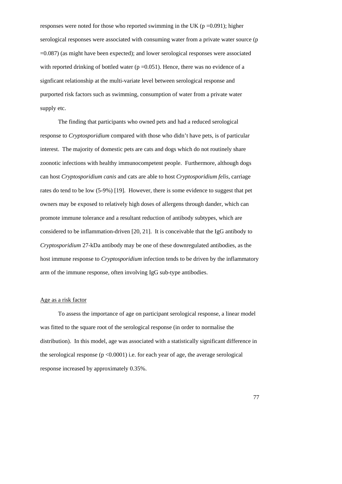responses were noted for those who reported swimming in the UK ( $p = 0.091$ ); higher serological responses were associated with consuming water from a private water source (p =0.087) (as might have been expected); and lower serological responses were associated with reported drinking of bottled water  $(p=0.051)$ . Hence, there was no evidence of a signficant relationship at the multi-variate level between serological response and purported risk factors such as swimming, consumption of water from a private water supply etc.

The finding that participants who owned pets and had a reduced serological response to *Cryptosporidium* compared with those who didn't have pets, is of particular interest. The majority of domestic pets are cats and dogs which do not routinely share zoonotic infections with healthy immunocompetent people. Furthermore, although dogs can host *Cryptosporidium canis* and cats are able to host *Cryptosporidium felis*, carriage rates do tend to be low (5-9%) [19]. However, there is some evidence to suggest that pet owners may be exposed to relatively high doses of allergens through dander, which can promote immune tolerance and a resultant reduction of antibody subtypes, which are considered to be inflammation-driven [20, 21]. It is conceivable that the IgG antibody to *Cryptosporidium* 27-kDa antibody may be one of these downregulated antibodies, as the host immune response to *Cryptosporidium* infection tends to be driven by the inflammatory arm of the immune response, often involving IgG sub-type antibodies.

#### Age as a risk factor

To assess the importance of age on participant serological response, a linear model was fitted to the square root of the serological response (in order to normalise the distribution). In this model, age was associated with a statistically significant difference in the serological response  $(p < 0.0001)$  i.e. for each year of age, the average serological response increased by approximately 0.35%.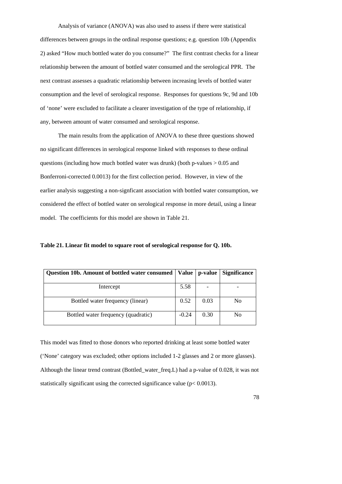Analysis of variance (ANOVA) was also used to assess if there were statistical differences between groups in the ordinal response questions; e.g. question 10b (Appendix 2) asked "How much bottled water do you consume?" The first contrast checks for a linear relationship between the amount of bottled water consumed and the serological PPR. The next contrast assesses a quadratic relationship between increasing levels of bottled water consumption and the level of serological response. Responses for questions 9c, 9d and 10b of 'none' were excluded to facilitate a clearer investigation of the type of relationship, if any, between amount of water consumed and serological response.

 The main results from the application of ANOVA to these three questions showed no significant differences in serological response linked with responses to these ordinal questions (including how much bottled water was drunk) (both p-values  $> 0.05$  and Bonferroni-corrected 0.0013) for the first collection period. However, in view of the earlier analysis suggesting a non-signficant association with bottled water consumption, we considered the effect of bottled water on serological response in more detail, using a linear model. The coefficients for this model are shown in Table 21.

**Table 21. Linear fit model to square root of serological response for Q. 10b.** 

| Question 10b. Amount of bottled water consumed   Value |         | p-value | <b>Significance</b> |
|--------------------------------------------------------|---------|---------|---------------------|
| Intercept                                              | 5.58    |         |                     |
| Bottled water frequency (linear)                       | 0.52    | 0.03    | N <sub>0</sub>      |
| Bottled water frequency (quadratic)                    | $-0.24$ | 0.30    | No                  |

This model was fitted to those donors who reported drinking at least some bottled water ('None' category was excluded; other options included 1-2 glasses and 2 or more glasses). Although the linear trend contrast (Bottled\_water\_freq.L) had a p-value of 0.028, it was not statistically significant using the corrected significance value ( $p < 0.0013$ ).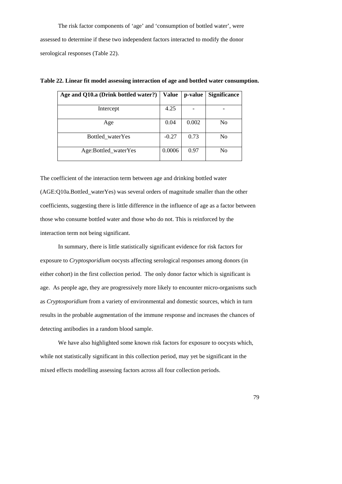The risk factor components of 'age' and 'consumption of bottled water', were assessed to determine if these two independent factors interacted to modify the donor serological responses (Table 22).

| Age and Q10.a (Drink bottled water?) | <b>Value</b> | p-value | <b>Significance</b> |
|--------------------------------------|--------------|---------|---------------------|
|                                      |              |         |                     |
| Intercept                            | 4.25         |         |                     |
|                                      |              |         |                     |
| Age                                  | 0.04         | 0.002   | No                  |
|                                      |              |         |                     |
| Bottled_waterYes                     | $-0.27$      | 0.73    | No                  |
|                                      |              |         |                     |
| Age:Bottled_waterYes                 | 0.0006       | 0.97    | N <sub>0</sub>      |
|                                      |              |         |                     |

**Table 22. Linear fit model assessing interaction of age and bottled water consumption.** 

The coefficient of the interaction term between age and drinking bottled water (AGE:Q10a.Bottled\_waterYes) was several orders of magnitude smaller than the other coefficients, suggesting there is little difference in the influence of age as a factor between those who consume bottled water and those who do not. This is reinforced by the interaction term not being significant.

 In summary, there is little statistically significant evidence for risk factors for exposure to *Cryptosporidium* oocysts affecting serological responses among donors (in either cohort) in the first collection period. The only donor factor which is significant is age. As people age, they are progressively more likely to encounter micro-organisms such as *Cryptosporidium* from a variety of environmental and domestic sources, which in turn results in the probable augmentation of the immune response and increases the chances of detecting antibodies in a random blood sample.

 We have also highlighted some known risk factors for exposure to oocysts which, while not statistically significant in this collection period, may yet be significant in the mixed effects modelling assessing factors across all four collection periods.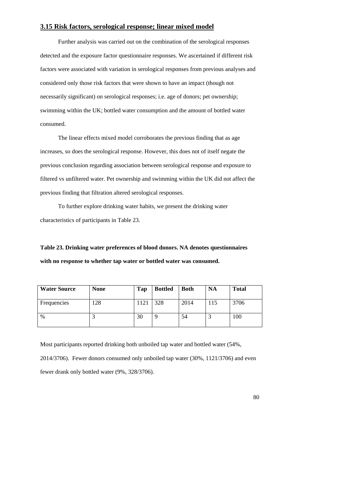## **3.15 Risk factors, serological response; linear mixed model**

 Further analysis was carried out on the combination of the serological responses detected and the exposure factor questionnaire responses. We ascertained if different risk factors were associated with variation in serological responses from previous analyses and considered only those risk factors that were shown to have an impact (though not necessarily significant) on serological responses; i.e. age of donors; pet ownership; swimming within the UK; bottled water consumption and the amount of bottled water consumed.

 The linear effects mixed model corroborates the previous finding that as age increases, so does the serological response. However, this does not of itself negate the previous conclusion regarding association between serological response and exposure to filtered vs unfiltered water. Pet ownership and swimming within the UK did not affect the previous finding that filtration altered serological responses.

To further explore drinking water habits, we present the drinking water characteristics of participants in Table 23.

**Table 23. Drinking water preferences of blood donors. NA denotes questionnaires with no response to whether tap water or bottled water was consumed.** 

| <b>Water Source</b> | <b>None</b> | Tap | <b>Bottled</b> | <b>Both</b> | <b>NA</b> | <b>Total</b> |
|---------------------|-------------|-----|----------------|-------------|-----------|--------------|
| Frequencies         | 28          | 121 | 328            | 2014        | 115       | 3706         |
| $\%$                | J           | 30  |                | 54          |           | 100          |

Most participants reported drinking both unboiled tap water and bottled water (54%, 2014/3706). Fewer donors consumed only unboiled tap water (30%, 1121/3706) and even fewer drank only bottled water (9%, 328/3706).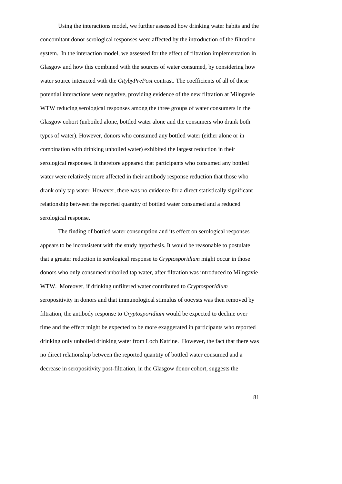Using the interactions model, we further assessed how drinking water habits and the concomitant donor serological responses were affected by the introduction of the filtration system. In the interaction model, we assessed for the effect of filtration implementation in Glasgow and how this combined with the sources of water consumed, by considering how water source interacted with the *CitybyPrePost* contrast. The coefficients of all of these potential interactions were negative, providing evidence of the new filtration at Milngavie WTW reducing serological responses among the three groups of water consumers in the Glasgow cohort (unboiled alone, bottled water alone and the consumers who drank both types of water). However, donors who consumed any bottled water (either alone or in combination with drinking unboiled water) exhibited the largest reduction in their serological responses. It therefore appeared that participants who consumed any bottled water were relatively more affected in their antibody response reduction that those who drank only tap water. However, there was no evidence for a direct statistically significant relationship between the reported quantity of bottled water consumed and a reduced serological response.

The finding of bottled water consumption and its effect on serological responses appears to be inconsistent with the study hypothesis. It would be reasonable to postulate that a greater reduction in serological response to *Cryptosporidium* might occur in those donors who only consumed unboiled tap water, after filtration was introduced to Milngavie WTW. Moreover, if drinking unfiltered water contributed to *Cryptosporidium* seropositivity in donors and that immunological stimulus of oocysts was then removed by filtration, the antibody response to *Cryptosporidium* would be expected to decline over time and the effect might be expected to be more exaggerated in participants who reported drinking only unboiled drinking water from Loch Katrine. However, the fact that there was no direct relationship between the reported quantity of bottled water consumed and a decrease in seropositivity post-filtration, in the Glasgow donor cohort, suggests the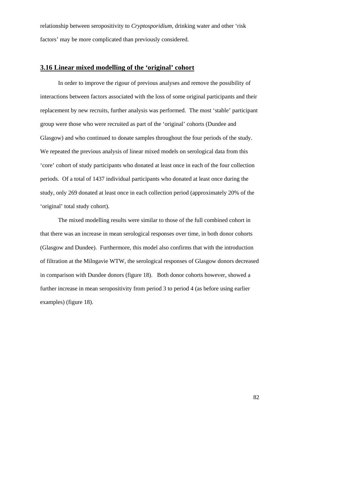relationship between seropositivity to *Cryptosporidium*, drinking water and other 'risk factors' may be more complicated than previously considered.

## **3.16 Linear mixed modelling of the 'original' cohort**

 In order to improve the rigour of previous analyses and remove the possibility of interactions between factors associated with the loss of some original participants and their replacement by new recruits, further analysis was performed. The most 'stable' participant group were those who were recruited as part of the 'original' cohorts (Dundee and Glasgow) and who continued to donate samples throughout the four periods of the study. We repeated the previous analysis of linear mixed models on serological data from this 'core' cohort of study participants who donated at least once in each of the four collection periods. Of a total of 1437 individual participants who donated at least once during the study, only 269 donated at least once in each collection period (approximately 20% of the 'original' total study cohort).

 The mixed modelling results were similar to those of the full combined cohort in that there was an increase in mean serological responses over time, in both donor cohorts (Glasgow and Dundee). Furthermore, this model also confirms that with the introduction of filtration at the Milngavie WTW, the serological responses of Glasgow donors decreased in comparison with Dundee donors (figure 18). Both donor cohorts however, showed a further increase in mean seropositivity from period 3 to period 4 (as before using earlier examples) (figure 18).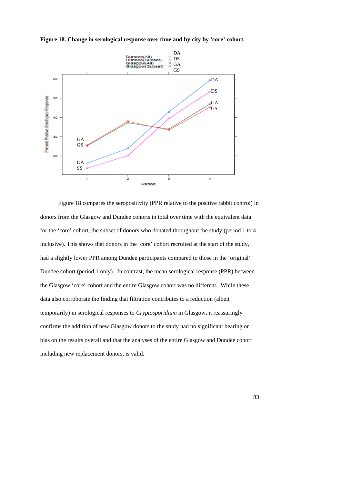

**Figure 18. Change in serological response over time and by city by 'core' cohort.** 

 Figure 18 compares the seropositivity (PPR relative to the positive rabbit control) in donors from the Glasgow and Dundee cohorts in total over time with the equivalent data for the 'core' cohort, the subset of donors who donated throughout the study (period 1 to 4 inclusive). This shows that donors in the 'core' cohort recruited at the start of the study, had a slightly lower PPR among Dundee participants compared to those in the 'original' Dundee cohort (period 1 only). In contrast, the mean serological response (PPR) between the Glasgow 'core' cohort and the entire Glasgow cohort was no different. While these data also corroborate the finding that filtration contributes to a reduction (albeit temporarily) in serological responses to *Cryptosporidium* in Glasgow, it reassuringly confirms the addition of new Glasgow donors to the study had no significant bearing or bias on the results overall and that the analyses of the entire Glasgow and Dundee cohort including new replacement donors, is valid.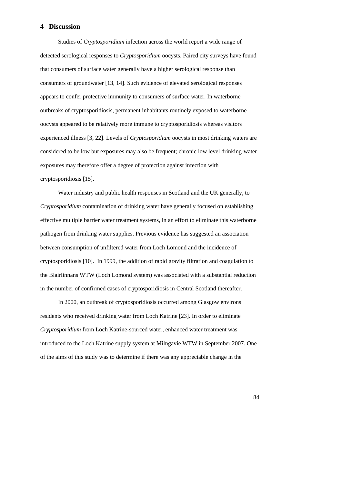## **4 Discussion**

Studies of *Cryptosporidium* infection across the world report a wide range of detected serological responses to *Cryptosporidium* oocysts. Paired city surveys have found that consumers of surface water generally have a higher serological response than consumers of groundwater [13, 14]. Such evidence of elevated serological responses appears to confer protective immunity to consumers of surface water. In waterborne outbreaks of cryptosporidiosis, permanent inhabitants routinely exposed to waterborne oocysts appeared to be relatively more immune to cryptosporidiosis whereas visitors experienced illness [3, 22]. Levels of *Cryptosporidium* oocysts in most drinking waters are considered to be low but exposures may also be frequent; chronic low level drinking-water exposures may therefore offer a degree of protection against infection with cryptosporidiosis [15].

 Water industry and public health responses in Scotland and the UK generally, to *Cryptosporidium* contamination of drinking water have generally focused on establishing effective multiple barrier water treatment systems, in an effort to eliminate this waterborne pathogen from drinking water supplies. Previous evidence has suggested an association between consumption of unfiltered water from Loch Lomond and the incidence of cryptosporidiosis [10]. In 1999, the addition of rapid gravity filtration and coagulation to the Blairlinnans WTW (Loch Lomond system) was associated with a substantial reduction in the number of confirmed cases of cryptosporidiosis in Central Scotland thereafter.

In 2000, an outbreak of cryptosporidiosis occurred among Glasgow environs residents who received drinking water from Loch Katrine [23]. In order to eliminate *Cryptosporidium* from Loch Katrine-sourced water, enhanced water treatment was introduced to the Loch Katrine supply system at Milngavie WTW in September 2007. One of the aims of this study was to determine if there was any appreciable change in the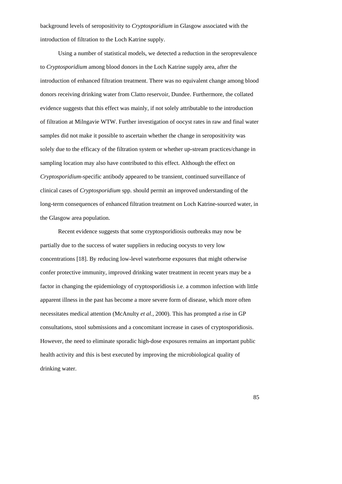background levels of seropositivity to *Cryptosporidium* in Glasgow associated with the introduction of filtration to the Loch Katrine supply.

 Using a number of statistical models, we detected a reduction in the seroprevalence to *Cryptosporidium* among blood donors in the Loch Katrine supply area, after the introduction of enhanced filtration treatment. There was no equivalent change among blood donors receiving drinking water from Clatto reservoir, Dundee. Furthermore, the collated evidence suggests that this effect was mainly, if not solely attributable to the introduction of filtration at Milngavie WTW. Further investigation of oocyst rates in raw and final water samples did not make it possible to ascertain whether the change in seropositivity was solely due to the efficacy of the filtration system or whether up-stream practices/change in sampling location may also have contributed to this effect. Although the effect on *Cryptosporidium-*specific antibody appeared to be transient, continued surveillance of clinical cases of *Cryptosporidium* spp. should permit an improved understanding of the long-term consequences of enhanced filtration treatment on Loch Katrine-sourced water, in the Glasgow area population.

Recent evidence suggests that some cryptosporidiosis outbreaks may now be partially due to the success of water suppliers in reducing oocysts to very low concentrations [18]. By reducing low-level waterborne exposures that might otherwise confer protective immunity, improved drinking water treatment in recent years may be a factor in changing the epidemiology of cryptosporidiosis i.e. a common infection with little apparent illness in the past has become a more severe form of disease, which more often necessitates medical attention (McAnulty *et al.,* 2000). This has prompted a rise in GP consultations, stool submissions and a concomitant increase in cases of cryptosporidiosis. However, the need to eliminate sporadic high-dose exposures remains an important public health activity and this is best executed by improving the microbiological quality of drinking water.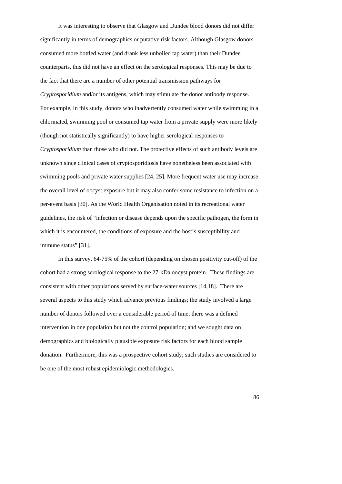It was interesting to observe that Glasgow and Dundee blood donors did not differ significantly in terms of demographics or putative risk factors. Although Glasgow donors consumed more bottled water (and drank less unboiled tap water) than their Dundee counterparts, this did not have an effect on the serological responses. This may be due to the fact that there are a number of other potential transmission pathways for *Cryptosporidium* and/or its antigens, which may stimulate the donor antibody response. For example, in this study, donors who inadvertently consumed water while swimming in a chlorinated, swimming pool or consumed tap water from a private supply were more likely (though not statistically significantly) to have higher serological responses to *Cryptosporidium* than those who did not. The protective effects of such antibody levels are unknown since clinical cases of cryptosporidiosis have nonetheless been associated with swimming pools and private water supplies [24, 25]. More frequent water use may increase the overall level of oocyst exposure but it may also confer some resistance to infection on a per-event basis [30]. As the World Health Organisation noted in its recreational water guidelines, the risk of "infection or disease depends upon the specific pathogen, the form in which it is encountered, the conditions of exposure and the host's susceptibility and immune status" [31].

In this survey, 64-75% of the cohort (depending on chosen positivity cut-off) of the cohort had a strong serological response to the 27-kDa oocyst protein. These findings are consistent with other populations served by surface-water sources [14,18]. There are several aspects to this study which advance previous findings; the study involved a large number of donors followed over a considerable period of time; there was a defined intervention in one population but not the control population; and we sought data on demographics and biologically plausible exposure risk factors for each blood sample donation. Furthermore, this was a prospective cohort study; such studies are considered to be one of the most robust epidemiologic methodologies.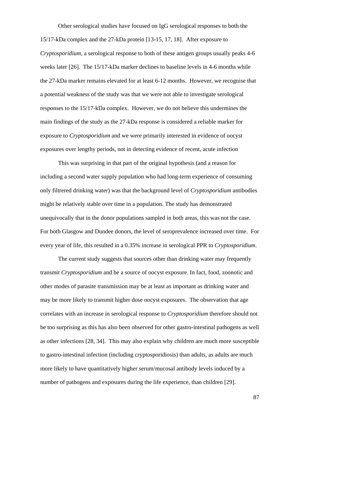Other serological studies have focused on IgG serological responses to both the 15/17-kDa complex and the 27-kDa protein [13-15, 17, 18]. After exposure to *Cryptosporidium*, a serological response to both of these antigen groups usually peaks 4-6 weeks later [26]. The 15/17-kDa marker declines to baseline levels in 4-6 months while the 27-kDa marker remains elevated for at least 6-12 months. However, we recognise that a potential weakness of the study was that we were not able to investigate serological responses to the 15/17-kDa complex. However, we do not believe this undermines the main findings of the study as the 27-kDa response is considered a reliable marker for exposure to *Cryptosporidium* and we were primarily interested in evidence of oocyst exposures over lengthy periods, not in detecting evidence of recent, acute infection

This was surprising in that part of the original hypothesis (and a reason for including a second water supply population who had long-term experience of consuming only filtrered drinking water) was that the background level of *Cryptosporidium* antibodies might be relatively stable over time in a population. The study has demonstrated unequivocally that in the donor populations sampled in both areas, this was not the case. For both Glasgow and Dundee donors, the level of seroprevalence increased over time. For every year of life, this resulted in a 0.35% increase in serological PPR to *Cryptosporidium*.

The current study suggests that sources other than drinking water may frequently transmit *Cryptosporidium* and be a source of oocyst exposure. In fact, food, zoonotic and other modes of parasite transmission may be at least as important as drinking water and may be more likely to transmit higher dose oocyst exposures. The observation that age correlates with an increase in serological response to *Cryptosporidium* therefore should not be too surprising as this has also been observed for other gastro-intestinal pathogens as well as other infections [28, 34]. This may also explain why children are much more susceptible to gastro-intestinal infection (including cryptosporidiosis) than adults, as adults are much more likely to have quantitatively higher serum/mucosal antibody levels induced by a number of pathogens and exposures during the life experience, than children [29].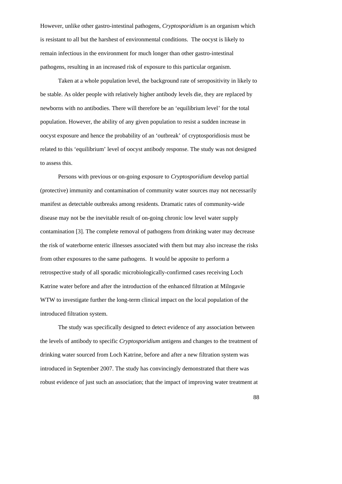However, unlike other gastro-intestinal pathogens, *Cryptosporidium* is an organism which is resistant to all but the harshest of environmental conditions. The oocyst is likely to remain infectious in the environment for much longer than other gastro-intestinal pathogens, resulting in an increased risk of exposure to this particular organism.

Taken at a whole population level, the background rate of seropositivity in likely to be stable. As older people with relatively higher antibody levels die, they are replaced by newborns with no antibodies. There will therefore be an 'equilibrium level' for the total population. However, the ability of any given population to resist a sudden increase in oocyst exposure and hence the probability of an 'outbreak' of cryptosporidiosis must be related to this 'equilibrium' level of oocyst antibody response. The study was not designed to assess this.

Persons with previous or on-going exposure to *Cryptosporidium* develop partial (protective) immunity and contamination of community water sources may not necessarily manifest as detectable outbreaks among residents. Dramatic rates of community-wide disease may not be the inevitable result of on-going chronic low level water supply contamination [3]. The complete removal of pathogens from drinking water may decrease the risk of waterborne enteric illnesses associated with them but may also increase the risks from other exposures to the same pathogens. It would be apposite to perform a retrospective study of all sporadic microbiologically-confirmed cases receiving Loch Katrine water before and after the introduction of the enhanced filtration at Milngavie WTW to investigate further the long-term clinical impact on the local population of the introduced filtration system.

The study was specifically designed to detect evidence of any association between the levels of antibody to specific *Cryptosporidium* antigens and changes to the treatment of drinking water sourced from Loch Katrine, before and after a new filtration system was introduced in September 2007. The study has convincingly demonstrated that there was robust evidence of just such an association; that the impact of improving water treatment at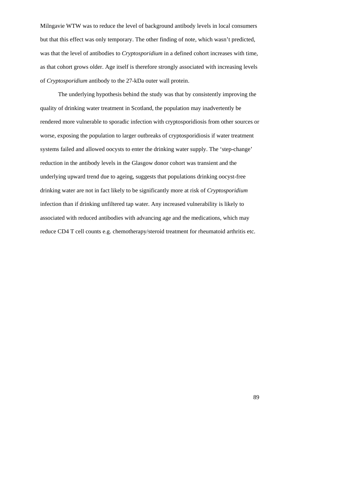Milngavie WTW was to reduce the level of background antibody levels in local consumers but that this effect was only temporary. The other finding of note, which wasn't predicted, was that the level of antibodies to *Cryptosporidium* in a defined cohort increases with time, as that cohort grows older. Age itself is therefore strongly associated with increasing levels of *Cryptosporidium* antibody to the 27-kDa outer wall protein.

The underlying hypothesis behind the study was that by consistently improving the quality of drinking water treatment in Scotland, the population may inadvertently be rendered more vulnerable to sporadic infection with cryptosporidiosis from other sources or worse, exposing the population to larger outbreaks of cryptosporidiosis if water treatment systems failed and allowed oocysts to enter the drinking water supply. The 'step-change' reduction in the antibody levels in the Glasgow donor cohort was transient and the underlying upward trend due to ageing, suggests that populations drinking oocyst-free drinking water are not in fact likely to be significantly more at risk of *Cryptosporidium* infection than if drinking unfiltered tap water. Any increased vulnerability is likely to associated with reduced antibodies with advancing age and the medications, which may reduce CD4 T cell counts e.g. chemotherapy/steroid treatment for rheumatoid arthritis etc.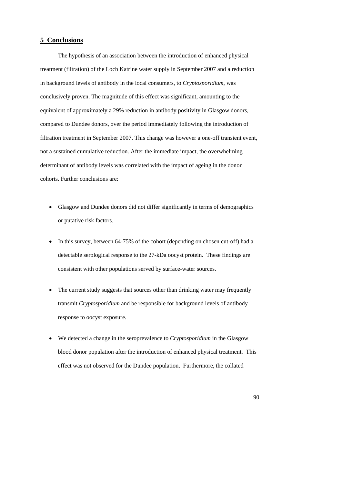## **5 Conclusions**

The hypothesis of an association between the introduction of enhanced physical treatment (filtration) of the Loch Katrine water supply in September 2007 and a reduction in background levels of antibody in the local consumers, to *Cryptosporidium*, was conclusively proven. The magnitude of this effect was significant, amounting to the equivalent of approximately a 29% reduction in antibody positivity in Glasgow donors, compared to Dundee donors, over the period immediately following the introduction of filtration treatment in September 2007. This change was however a one-off transient event, not a sustained cumulative reduction. After the immediate impact, the overwhelming determinant of antibody levels was correlated with the impact of ageing in the donor cohorts. Further conclusions are:

- Glasgow and Dundee donors did not differ significantly in terms of demographics or putative risk factors.
- In this survey, between 64-75% of the cohort (depending on chosen cut-off) had a detectable serological response to the 27-kDa oocyst protein. These findings are consistent with other populations served by surface-water sources.
- The current study suggests that sources other than drinking water may frequently transmit *Cryptosporidium* and be responsible for background levels of antibody response to oocyst exposure.
- We detected a change in the seroprevalence to *Cryptosporidium* in the Glasgow blood donor population after the introduction of enhanced physical treatment. This effect was not observed for the Dundee population. Furthermore, the collated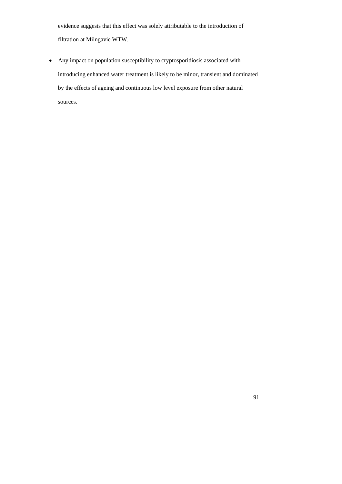evidence suggests that this effect was solely attributable to the introduction of filtration at Milngavie WTW.

• Any impact on population susceptibility to cryptosporidiosis associated with introducing enhanced water treatment is likely to be minor, transient and dominated by the effects of ageing and continuous low level exposure from other natural sources.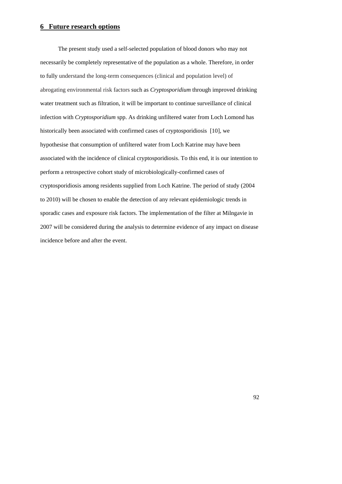## **6 Future research options**

 The present study used a self-selected population of blood donors who may not necessarily be completely representative of the population as a whole. Therefore, in order to fully understand the long-term consequences (clinical and population level) of abrogating environmental risk factors such as *Cryptosporidium* through improved drinking water treatment such as filtration, it will be important to continue surveillance of clinical infection with *Cryptosporidium* spp. As drinking unfiltered water from Loch Lomond has historically been associated with confirmed cases of cryptosporidiosis [10], we hypothesise that consumption of unfiltered water from Loch Katrine may have been associated with the incidence of clinical cryptosporidiosis. To this end, it is our intention to perform a retrospective cohort study of microbiologically-confirmed cases of cryptosporidiosis among residents supplied from Loch Katrine. The period of study (2004 to 2010) will be chosen to enable the detection of any relevant epidemiologic trends in sporadic cases and exposure risk factors. The implementation of the filter at Milngavie in 2007 will be considered during the analysis to determine evidence of any impact on disease incidence before and after the event.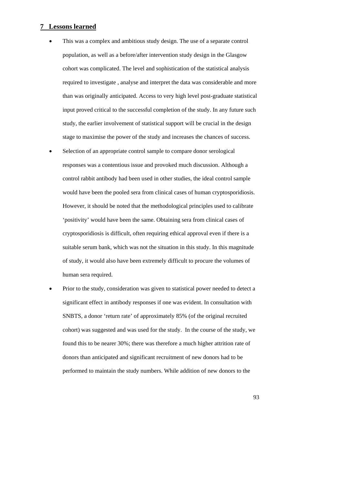#### **7 Lessons learned**

- This was a complex and ambitious study design. The use of a separate control population, as well as a before/after intervention study design in the Glasgow cohort was complicated. The level and sophistication of the statistical analysis required to investigate , analyse and interpret the data was considerable and more than was originally anticipated. Access to very high level post-graduate statistical input proved critical to the successful completion of the study. In any future such study, the earlier involvement of statistical support will be crucial in the design stage to maximise the power of the study and increases the chances of success.
- Selection of an appropriate control sample to compare donor serological responses was a contentious issue and provoked much discussion. Although a control rabbit antibody had been used in other studies, the ideal control sample would have been the pooled sera from clinical cases of human cryptosporidiosis. However, it should be noted that the methodological principles used to calibrate 'positivity' would have been the same. Obtaining sera from clinical cases of cryptosporidiosis is difficult, often requiring ethical approval even if there is a suitable serum bank, which was not the situation in this study. In this magnitude of study, it would also have been extremely difficult to procure the volumes of human sera required.
- Prior to the study, consideration was given to statistical power needed to detect a significant effect in antibody responses if one was evident. In consultation with SNBTS, a donor 'return rate' of approximately 85% (of the original recruited cohort) was suggested and was used for the study. In the course of the study, we found this to be nearer 30%; there was therefore a much higher attrition rate of donors than anticipated and significant recruitment of new donors had to be performed to maintain the study numbers. While addition of new donors to the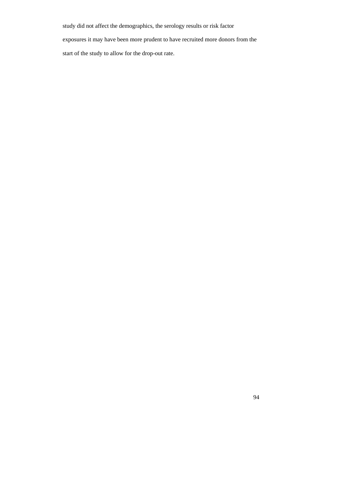study did not affect the demographics, the serology results or risk factor

exposures it may have been more prudent to have recruited more donors from the

start of the study to allow for the drop-out rate.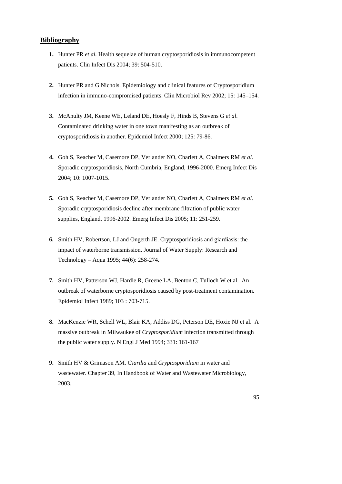## **Bibliography**

- **1.** Hunter PR *et al.* Health sequelae of human cryptosporidiosis in immunocompetent patients. Clin Infect Dis 2004; 39: 504-510.
- **2.** Hunter PR and G Nichols. Epidemiology and clinical features of Cryptosporidium infection in immuno-compromised patients. Clin Microbiol Rev 2002; 15: 145–154.
- **3.** McAnulty JM, Keene WE, Leland DE, Hoesly F, Hinds B, Stevens G *et al*. Contaminated drinking water in one town manifesting as an outbreak of cryptosporidiosis in another. Epidemiol Infect 2000; 125: 79-86.
- **4.** Goh S, Reacher M, Casemore DP, Verlander NO, Charlett A, Chalmers RM *et al.* Sporadic cryptosporidiosis, North Cumbria, England, 1996-2000. Emerg Infect Dis 2004; 10: 1007-1015.
- **5.** Goh S, Reacher M, Casemore DP, Verlander NO, Charlett A, Chalmers RM *et al.* Sporadic cryptosporidiosis decline after membrane filtration of public water supplies, England, 1996-2002. Emerg Infect Dis 2005; 11: 251-259.
- **6.** Smith HV, Robertson, LJ and Ongerth JE. Cryptosporidiosis and giardiasis: the impact of waterborne transmission. Journal of Water Supply: Research and Technology – Aqua 1995; 44(6): 258-274**.**
- **7.** Smith HV, Patterson WJ, Hardie R, Greene LA, Benton C, Tulloch W et al. An outbreak of waterborne cryptosporidiosis caused by post-treatment contamination. Epidemiol Infect 1989; 103 : 703-715.
- **8.** MacKenzie WR, Schell WL, Blair KA, Addiss DG, Peterson DE, Hoxie NJ et al. A massive outbreak in Milwaukee of *Cryptosporidium* infection transmitted through the public water supply*.* N Engl J Med 1994; 331: 161-167
- **9.** Smith HV & Grimason AM. *Giardia* and *Cryptosporidium* in water and wastewater. Chapter 39, In Handbook of Water and Wastewater Microbiology, 2003.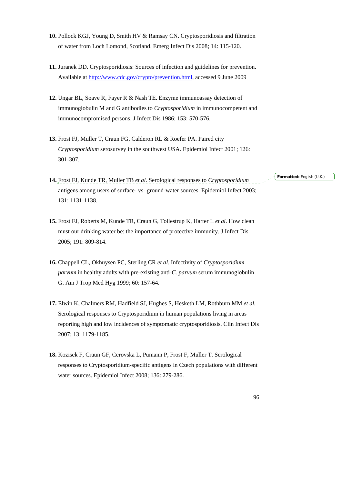- **10.** Pollock KGJ, Young D, Smith HV & Ramsay CN. Cryptosporidiosis and filtration of water from Loch Lomond, Scotland. Emerg Infect Dis 2008; 14: 115-120.
- **11.** Juranek DD. Cryptosporidiosis: Sources of infection and guidelines for prevention. Available at [http://www.cdc.gov/crypto/prevention.html,](http://www.cdc.gov/crypto/prevention.html) accessed 9 June 2009
- **12.** Ungar BL, Soave R, Fayer R & Nash TE. Enzyme immunoassay detection of immunoglobulin M and G antibodies to *Cryptosporidium* in immunocompetent and immunocompromised persons. J Infect Dis 1986; 153: 570-576.
- **13.** Frost FJ, Muller T, Craun FG, Calderon RL & Roefer PA. Paired city *Cryptosporidium* serosurvey in the southwest USA. Epidemiol Infect 2001; 126: 301-307.
- **14.** Frost FJ, Kunde TR, Muller TB *et al.* Serological responses to *Cryptosporidium* antigens among users of surface- vs- ground-water sources. Epidemiol Infect 2003; 131: 1131-1138.
- **15.** Frost FJ, Roberts M, Kunde TR, Craun G, Tollestrup K, Harter L *et al*. How clean must our drinking water be: the importance of protective immunity. J Infect Dis 2005; 191: 809-814.
- **16.** Chappell CL, Okhuysen PC, Sterling CR *et al.* Infectivity of *Cryptosporidium parvum* in healthy adults with pre-existing anti-*C. parvum* serum immunoglobulin G. Am J Trop Med Hyg 1999; 60: 157-64.
- **17.** Elwin K, Chalmers RM, Hadfield SJ, Hughes S, Hesketh LM, Rothburn MM *et al.* Serological responses to Cryptosporidium in human populations living in areas reporting high and low incidences of symptomatic cryptosporidiosis. Clin Infect Dis 2007; 13: 1179-1185.
- **18.** Kozisek F, Craun GF, Cerovska L, Pumann P, Frost F, Muller T. Serological responses to Cryptosporidium-specific antigens in Czech populations with different water sources. Epidemiol Infect 2008; 136: 279-286.

**Formatted:** English (U.K.)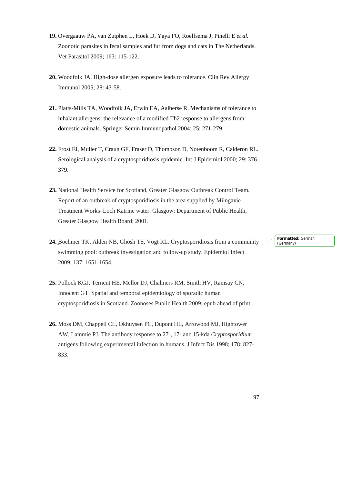- **19.** Overgaauw PA, van Zutphen L, Hoek D, Yaya FO, Roelfsema J, Pinelli E *et al.* Zoonotic parasites in fecal samples and fur from dogs and cats in The Netherlands. Vet Parasitol 2009; 163: 115-122.
- **20.** Woodfolk JA. High-dose allergen exposure leads to tolerance. Clin Rev Allergy Immunol 2005; 28: 43-58.
- **21.** Platts-Mills TA, Woodfolk JA, Erwin EA, Aalberse R. Mechanisms of tolerance to inhalant allergens: the relevance of a modified Th2 response to allergens from domestic animals. Springer Semin Immunopathol 2004; 25: 271-279.
- **22.** Frost FJ, Muller T, Craun GF, Fraser D, Thompson D, Notenboom R, Calderon RL. Serological analysis of a cryptosporidiosis epidemic. Int J Epidemiol 2000; 29: 376- 379.
- **23.** National Health Service for Scotland, Greater Glasgow Outbreak Control Team. Report of an outbreak of cryptosporidiosis in the area supplied by Milngavie Treatment Works–Loch Katrine water. Glasgow: Department of Public Health, Greater Glasgow Health Board; 2001.
- **24.** Boehmer TK, Alden NB, Ghosh TS, Vogt RL. Cryptosporidiosis from a community swimming pool: outbreak investigation and follow-up study. Epidemiol Infect 2009; 137: 1651-1654.
- **25.** Pollock KGJ, Ternent HE, Mellor DJ, Chalmers RM, Smith HV, Ramsay CN, Innocent GT. Spatial and temporal epidemiology of sporadic human cryptosporidiosis in Scotland. Zoonoses Public Health 2009; epub ahead of print.
- **26.** Moss DM, Chappell CL, Okhuysen PC, Dupont HL, Arrowood MJ, Hightower AW, Lammie PJ. The antibody response to 27-, 17- and 15-kda *Cryptosporidium* antigens following experimental infection in humans. J Infect Dis 1998; 178: 827- 833.

**Formatted:** German (Germany)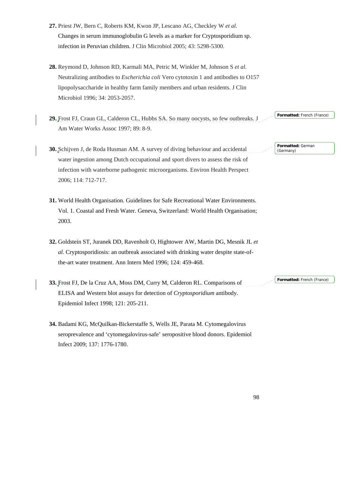- **27.** Priest JW, Bern C, Roberts KM, Kwon JP, Lescano AG, Checkley W *et al.* Changes in serum immunoglobulin G levels as a marker for Cryptosporidium sp. infection in Peruvian children. J Clin Microbiol 2005; 43: 5298-5300.
- **28.** Reymond D, Johnson RD, Karmali MA, Petric M, Winkler M, Johnson S *et al.* Neutralizing antibodies to *Escherichia coli* Vero cytotoxin 1 and antibodies to O157 lipopolysaccharide in healthy farm family members and urban residents. J Clin Microbiol 1996; 34: 2053-2057.
- **29.** Frost FJ, Craun GL, Calderon CL, Hubbs SA. So many oocysts, so few outbreaks. J Am Water Works Assoc 1997; 89: 8-9. **Formatted:** French (France)
- **30.** Schijven J, de Roda Husman AM. A survey of diving behaviour and accidental water ingestion among Dutch occupational and sport divers to assess the risk of infection with waterborne pathogenic microorganisms. Environ Health Perspect 2006; 114: 712-717.
- **31.** World Health Organisation. Guidelines for Safe Recreational Water Environments. Vol. 1. Coastal and Fresh Water. Geneva, Switzerland: World Health Organisation; 2003.
- **32.** Goldstein ST, Juranek DD, Ravenholt O, Hightower AW, Martin DG, Mesnik JL *et al.* Cryptosporidiosis: an outbreak associated with drinking water despite state-ofthe-art water treatment. Ann Intern Med 1996; 124: 459-468.
- **33.** Frost FJ, De la Cruz AA, Moss DM, Curry M, Calderon RL. Comparisons of ELISA and Western blot assays for detection of *Cryptosporidium* antibody. Epidemiol Infect 1998; 121: 205-211.
- **34.** Badami KG, McQuilkan-Bickerstaffe S, Wells JE, Parata M. Cytomegalovirus seroprevalence and 'cytomegalovirus-safe' seropositive blood donors. Epidemiol Infect 2009; 137: 1776-1780.

98

**Formatted:** German (Germany)

**Formatted:** French (France)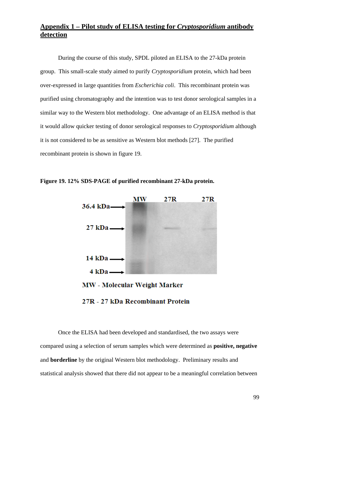## **Appendix 1 – Pilot study of ELISA testing for** *Cryptosporidium* **antibody detection**

During the course of this study, SPDL piloted an ELISA to the 27-kDa protein group. This small-scale study aimed to purify *Cryptosporidium* protein, which had been over-expressed in large quantities from *Escherichia coli*. This recombinant protein was purified using chromatography and the intention was to test donor serological samples in a similar way to the Western blot methodology. One advantage of an ELISA method is that it would allow quicker testing of donor serological responses to *Cryptosporidium* although it is not considered to be as sensitive as Western blot methods [27]. The purified recombinant protein is shown in figure 19.



**Figure 19. 12% SDS-PAGE of purified recombinant 27-kDa protein.** 

27R - 27 kDa Recombinant Protein

 Once the ELISA had been developed and standardised, the two assays were compared using a selection of serum samples which were determined as **positive, negative**  and **borderline** by the original Western blot methodology. Preliminary results and statistical analysis showed that there did not appear to be a meaningful correlation between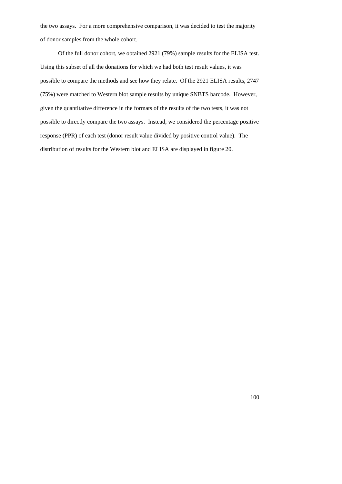the two assays. For a more comprehensive comparison, it was decided to test the majority of donor samples from the whole cohort.

 Of the full donor cohort, we obtained 2921 (79%) sample results for the ELISA test. Using this subset of all the donations for which we had both test result values, it was possible to compare the methods and see how they relate. Of the 2921 ELISA results, 2747 (75%) were matched to Western blot sample results by unique SNBTS barcode. However, given the quantitative difference in the formats of the results of the two tests, it was not possible to directly compare the two assays. Instead, we considered the percentage positive response (PPR) of each test (donor result value divided by positive control value). The distribution of results for the Western blot and ELISA are displayed in figure 20.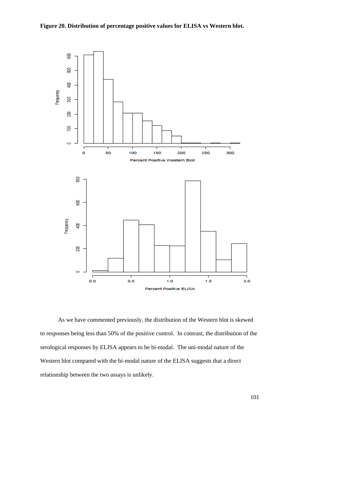

As we have commented previously, the distribution of the Western blot is skewed to responses being less than 50% of the positive control. In contrast, the distribution of the serological responses by ELISA appears to be bi-modal. The uni-modal nature of the Western blot compared with the bi-modal nature of the ELISA suggests that a direct relationship between the two assays is unlikely.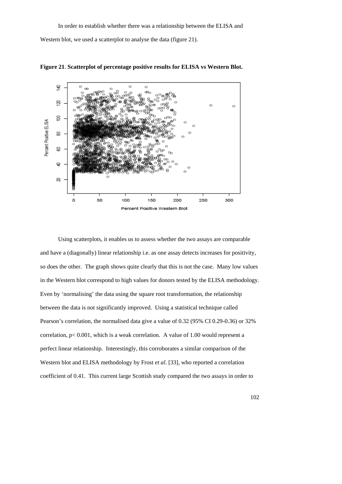Western blot, we used a scatterplot to analyse the data (figure 21).



**Figure 21**. **Scatterplot of percentage positive results for ELISA vs Western Blot.**

Using scatterplots, it enables us to assess whether the two assays are comparable and have a (diagonally) linear relationship i.e. as one assay detects increases for positivity, so does the other. The graph shows quite clearly that this is not the case. Many low values in the Western blot correspond to high values for donors tested by the ELISA methodology. Even by 'normalising' the data using the square root transformation, the relationship between the data is not significantly improved. Using a statistical technique called Pearson's correlation, the normalised data give a value of 0.32 (95% CI 0.29-0.36) or 32% correlation, p< 0.001, which is a weak correlation. A value of 1.00 would represent a perfect linear relationship. Interestingly, this corroborates a similar comparison of the Western blot and ELISA methodology by Frost *et al.* [33], who reported a correlation coefficient of 0.41. This current large Scottish study compared the two assays in order to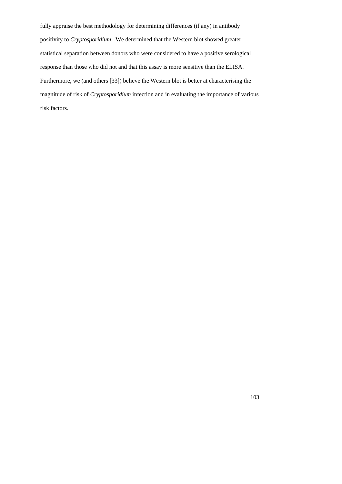fully appraise the best methodology for determining differences (if any) in antibody positivity to *Cryptosporidium*. We determined that the Western blot showed greater statistical separation between donors who were considered to have a positive serological response than those who did not and that this assay is more sensitive than the ELISA. Furthermore, we (and others [33]) believe the Western blot is better at characterising the magnitude of risk of *Cryptosporidium* infection and in evaluating the importance of various risk factors.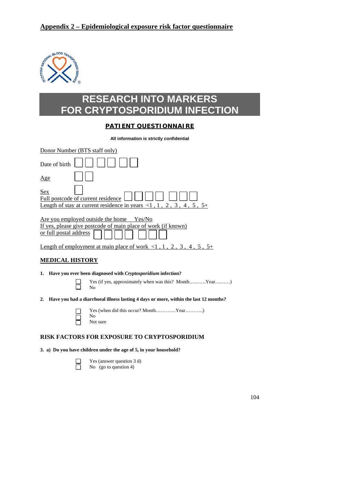# **Appendix 2 – Epidemiological exposure risk factor questionnaire**



# **RESEARCH INTO MARKERS FOR CRYPTOSPORIDIUM INFECTION**

## **PATIENT QUESTIONNAIRE**

**All information is strictly confidential** 

| Donor Number (BTS staff only)                                                                                                              |
|--------------------------------------------------------------------------------------------------------------------------------------------|
| Date of birth                                                                                                                              |
| <u>Age</u>                                                                                                                                 |
| Sex<br>Full postcode of current residence<br><u>Length of stay at current residence in years &lt;1, 1, 2, 3, 4, 5, 5+</u>                  |
| Are you employed outside the home Yes/No<br>If yes, please give postcode of main place of work (if known)<br><u>or full postal address</u> |
| <u>Length of employment at main place of work <math>\langle 1, 1, 2, 3, 4, 5, 5+</math></u>                                                |
| <b>MEDICAL HISTORY</b>                                                                                                                     |
| Have you ever been diagnosed with Cryptosporidium infection?<br>1.                                                                         |
| Yes (if yes, approximately when was this? MonthYear)<br>No                                                                                 |
| Have you had a diarrhoeal illness lasting 4 days or more, within the last 12 months?<br>2.                                                 |
| No<br>Not sure                                                                                                                             |
|                                                                                                                                            |

## **RISK FACTORS FOR EXPOSURE TO CRYPTOSPORIDIUM**

## **3. a) Do you have children under the age of 5, in your household?**

**T** Yes (answer question 3 d)<br>No (go to question 4) No (go to question 4)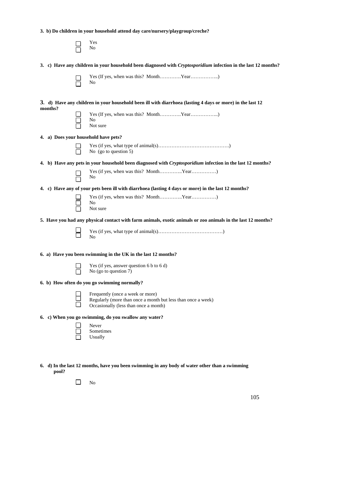**3. b) Do children in your household attend day care/nursery/playgroup/creche?** 

|         | Yes<br>No                                                                                                                                 |
|---------|-------------------------------------------------------------------------------------------------------------------------------------------|
|         | 3. c) Have any children in your household been diagnosed with <i>Cryptosporidium</i> infection in the last 12 months?                     |
|         | No                                                                                                                                        |
| months? | 3. d) Have any children in your household been ill with diarrhoea (lasting 4 days or more) in the last 12                                 |
|         | No<br>Not sure                                                                                                                            |
|         | 4. a) Does your household have pets?                                                                                                      |
|         | No (go to question 5)                                                                                                                     |
|         | 4. b) Have any pets in your household been diagnosed with Cryptosporidium infection in the last 12 months?                                |
|         | No                                                                                                                                        |
|         | 4. c) Have any of your pets been ill with diarrhoea (lasting 4 days or more) in the last 12 months?                                       |
|         | No<br>Not sure                                                                                                                            |
|         | 5. Have you had any physical contact with farm animals, exotic animals or zoo animals in the last 12 months?                              |
|         | No                                                                                                                                        |
|         | 6. a) Have you been swimming in the UK in the last 12 months?                                                                             |
|         | Yes (if yes, answer question 6 b to 6 d)<br>No (go to question 7)                                                                         |
|         | 6. b) How often do you go swimming normally?                                                                                              |
|         | Frequently (once a week or more)<br>Regularly (more than once a month but less than once a week)<br>Occasionally (less than once a month) |
|         | 6. c) When you go swimming, do you swallow any water?                                                                                     |
|         | Never<br>Sometimes<br>Usually                                                                                                             |
|         |                                                                                                                                           |

- **6. d) In the last 12 months, have you been swimming in any body of water other than a swimming pool?** 
	- $\Box$  No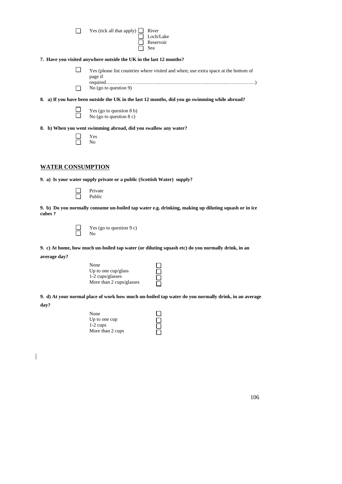| $\Box$ Yes (tick all that apply) $\Box$ River |              |
|-----------------------------------------------|--------------|
|                                               | $\Box$ Loch/ |
|                                               | $\Box$ Reser |

#### **7. Have you visited anywhere outside the UK in the last 12 months?**

 $\Box$ Yes (please list countries where visited and when; use extra space at the bottom of page if required………………………………………………………………………………) ■ No (go to question 9)

□ Loch/Lake<br>□ Reservoir<br>□ Sea Reservoir Sea

#### **8. a) If you have been outside the UK in the last 12 months, did you go swimming while abroad?**

| Yes (go to question $8 b$ ) |
|-----------------------------|
| No (go to question $8c$ )   |

#### **8. b) When you went swimming abroad, did you swallow any water?**

|  | Yes |
|--|-----|
|  | No  |

## **WATER CONSUMPTION**

**9. a) Is your water supply private or a public (Scottish Water) supply?** 

| Private |
|---------|
| Public  |

**9. b) Do you normally consume un-boiled tap water e.g. drinking, making up diluting squash or in ice cubes ?**



 $\Gamma$  Yes (go to question 9 c)<br>
No No

**9. c) At home, how much un-boiled tap water (or diluting squash etc) do you normally drink, in an** 

**average day?** 

| None                     |  |
|--------------------------|--|
| Up to one $cup/glass$    |  |
| 1-2 cups/glasses         |  |
| More than 2 cups/glasses |  |

**9. d) At your normal place of work how much un-boiled tap water do you normally drink, in an average day?** 

DOOD

0<br>0<br>0<br>0

| None             |
|------------------|
| Up to one cup    |
| $1-2$ cups       |
| More than 2 cups |